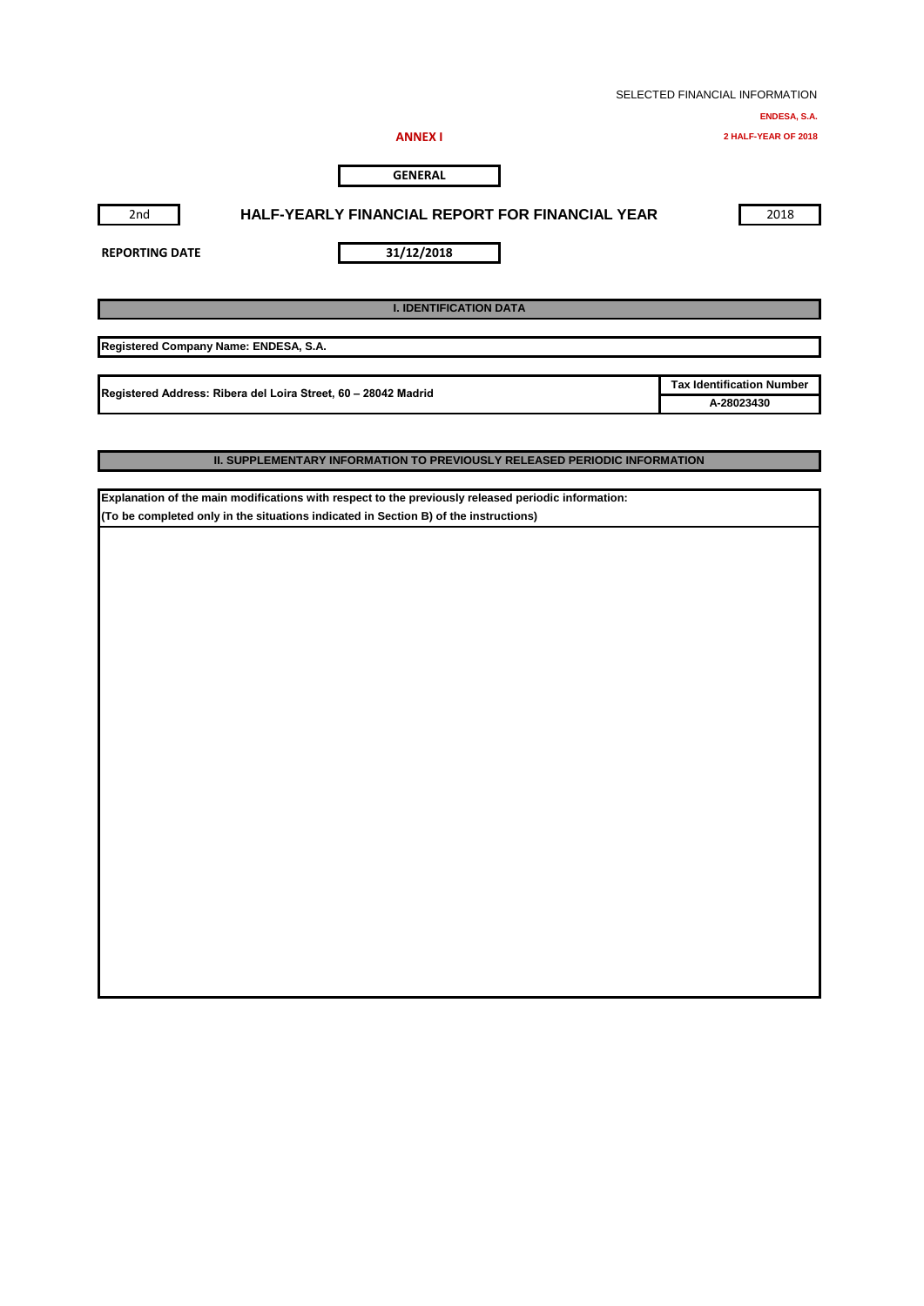|                                                                |                                                        |  | SELECTED FINANCIAL INFORMATION   |
|----------------------------------------------------------------|--------------------------------------------------------|--|----------------------------------|
|                                                                |                                                        |  | ENDESA, S.A.                     |
|                                                                | <b>ANNEX I</b>                                         |  | 2 HALF-YEAR OF 2018              |
|                                                                | <b>GENERAL</b>                                         |  |                                  |
| 2nd                                                            | <b>HALF-YEARLY FINANCIAL REPORT FOR FINANCIAL YEAR</b> |  | 2018                             |
| <b>REPORTING DATE</b>                                          | 31/12/2018                                             |  |                                  |
|                                                                | <b>I. IDENTIFICATION DATA</b>                          |  |                                  |
| Registered Company Name: ENDESA, S.A.                          |                                                        |  |                                  |
|                                                                |                                                        |  | <b>Tax Identification Number</b> |
| Registered Address: Ribera del Loira Street, 60 - 28042 Madrid | A-28023430                                             |  |                                  |
|                                                                |                                                        |  |                                  |

### **II. SUPPLEMENTARY INFORMATION TO PREVIOUSLY RELEASED PERIODIC INFORMATION**

**Explanation of the main modifications with respect to the previously released periodic information: (To be completed only in the situations indicated in Section B) of the instructions)**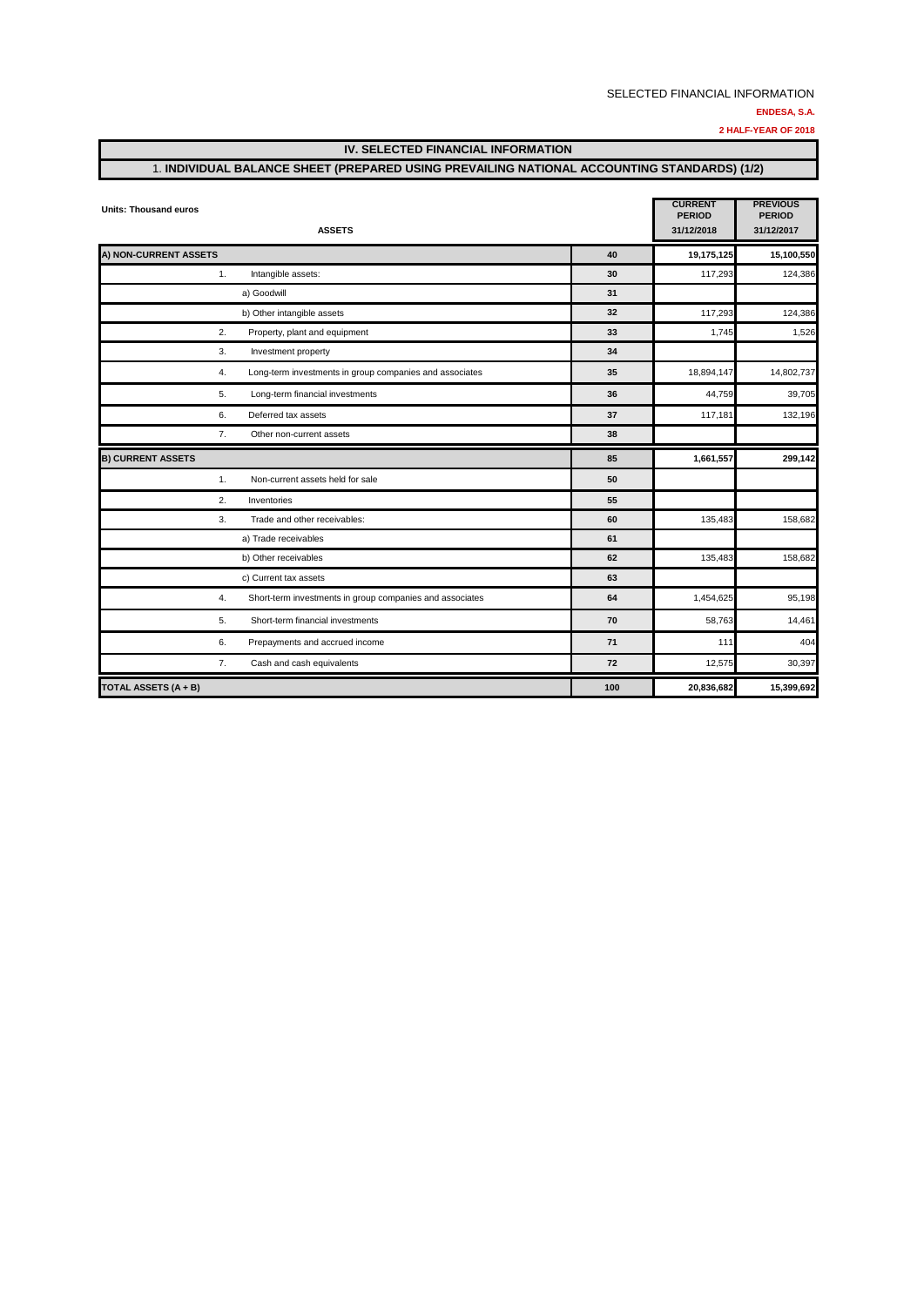**2 HALF-YEAR OF 2018**

### **IV. SELECTED FINANCIAL INFORMATION**

### 1. **INDIVIDUAL BALANCE SHEET (PREPARED USING PREVAILING NATIONAL ACCOUNTING STANDARDS) (1/2)**

| <b>Units: Thousand euros</b> | <b>ASSETS</b>                                            |    | <b>CURRENT</b><br><b>PERIOD</b><br>31/12/2018 | <b>PREVIOUS</b><br><b>PERIOD</b><br>31/12/2017 |
|------------------------------|----------------------------------------------------------|----|-----------------------------------------------|------------------------------------------------|
| A) NON-CURRENT ASSETS        |                                                          | 40 | 19,175,125                                    | 15,100,550                                     |
| 1.                           | Intangible assets:                                       | 30 | 117,293                                       | 124,386                                        |
|                              | a) Goodwill                                              | 31 |                                               |                                                |
|                              | b) Other intangible assets                               | 32 | 117,293                                       | 124,386                                        |
| 2.                           | Property, plant and equipment                            | 33 | 1,745                                         | 1,526                                          |
| 3.                           | Investment property                                      | 34 |                                               |                                                |
| 4.                           | Long-term investments in group companies and associates  | 35 | 18,894,147                                    | 14,802,737                                     |
| 5.                           | Long-term financial investments                          | 36 | 44,759                                        | 39,705                                         |
| 6.                           | Deferred tax assets                                      | 37 | 117,181                                       | 132,196                                        |
| 7.                           | Other non-current assets                                 | 38 |                                               |                                                |
| <b>B) CURRENT ASSETS</b>     |                                                          | 85 | 1,661,557                                     | 299,142                                        |
| 1.                           | Non-current assets held for sale                         | 50 |                                               |                                                |
| 2.                           | Inventories                                              | 55 |                                               |                                                |
| 3.                           | Trade and other receivables:                             | 60 | 135,483                                       | 158,682                                        |
|                              | a) Trade receivables                                     | 61 |                                               |                                                |
|                              | b) Other receivables                                     | 62 | 135,483                                       | 158,682                                        |
|                              | c) Current tax assets                                    | 63 |                                               |                                                |
| 4.                           | Short-term investments in group companies and associates | 64 | 1,454,625                                     | 95,198                                         |
| 5.                           | Short-term financial investments                         | 70 | 58,763                                        | 14,461                                         |
| 6.                           | Prepayments and accrued income                           | 71 | 111                                           | 404                                            |
| 7.                           | Cash and cash equivalents                                | 72 | 12,575                                        | 30,397                                         |
|                              |                                                          |    |                                               |                                                |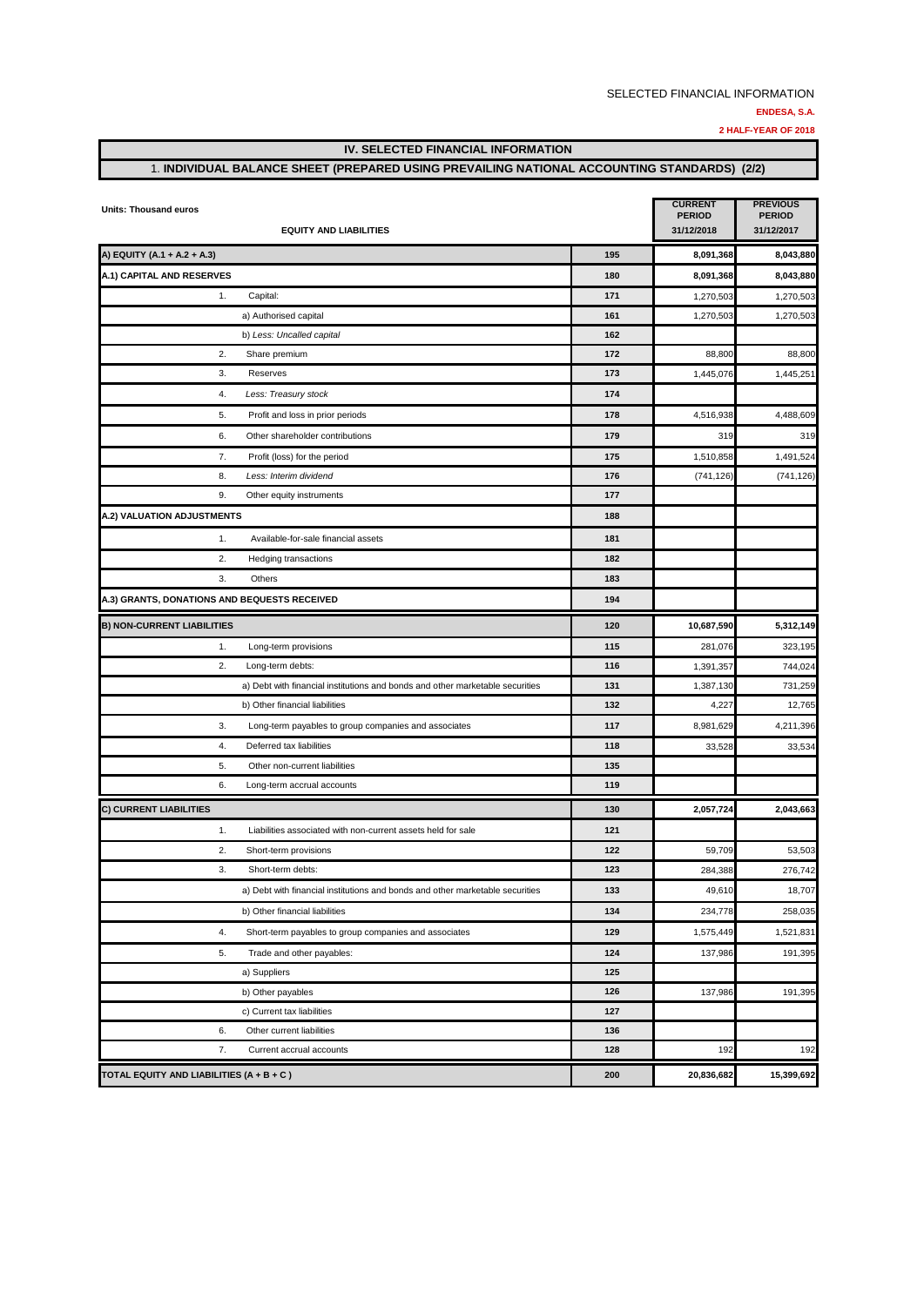**2 HALF-YEAR OF 2018**

### **IV. SELECTED FINANCIAL INFORMATION**

### 1. **INDIVIDUAL BALANCE SHEET (PREPARED USING PREVAILING NATIONAL ACCOUNTING STANDARDS) (2/2)**

| <b>Units: Thousand euros</b><br><b>EQUITY AND LIABILITIES</b>                 |     | <b>CURRENT</b><br><b>PERIOD</b><br>31/12/2018 | <b>PREVIOUS</b><br><b>PERIOD</b><br>31/12/2017 |
|-------------------------------------------------------------------------------|-----|-----------------------------------------------|------------------------------------------------|
| A) EQUITY (A.1 + A.2 + A.3)                                                   | 195 | 8,091,368                                     | 8,043,880                                      |
| A.1) CAPITAL AND RESERVES                                                     | 180 | 8,091,368                                     | 8,043,880                                      |
| 1.<br>Capital:                                                                | 171 | 1,270,503                                     | 1,270,503                                      |
| a) Authorised capital                                                         | 161 | 1,270,503                                     | 1,270,503                                      |
| b) Less: Uncalled capital                                                     | 162 |                                               |                                                |
| 2.<br>Share premium                                                           | 172 | 88,800                                        | 88,800                                         |
| 3.<br>Reserves                                                                | 173 | 1,445,076                                     | 1,445,251                                      |
| 4.<br>Less: Treasury stock                                                    | 174 |                                               |                                                |
| 5.<br>Profit and loss in prior periods                                        | 178 | 4,516,938                                     | 4,488,609                                      |
| 6.<br>Other shareholder contributions                                         | 179 | 319                                           | 319                                            |
| 7.<br>Profit (loss) for the period                                            | 175 | 1,510,858                                     | 1,491,524                                      |
| Less: Interim dividend<br>8.                                                  | 176 | (741, 126)                                    | (741, 126)                                     |
| 9.<br>Other equity instruments                                                | 177 |                                               |                                                |
| A.2) VALUATION ADJUSTMENTS                                                    | 188 |                                               |                                                |
| 1.<br>Available-for-sale financial assets                                     | 181 |                                               |                                                |
| 2.<br><b>Hedging transactions</b>                                             | 182 |                                               |                                                |
| 3.<br>Others                                                                  | 183 |                                               |                                                |
| A.3) GRANTS, DONATIONS AND BEQUESTS RECEIVED                                  | 194 |                                               |                                                |
| <b>B) NON-CURRENT LIABILITIES</b>                                             | 120 | 10,687,590                                    | 5,312,149                                      |
| 1.<br>Long-term provisions                                                    | 115 | 281,076                                       | 323,195                                        |
| 2.<br>Long-term debts:                                                        | 116 | 1,391,357                                     | 744,024                                        |
| a) Debt with financial institutions and bonds and other marketable securities | 131 | 1,387,130                                     | 731,259                                        |
| b) Other financial liabilities                                                | 132 | 4,227                                         | 12,765                                         |
| 3.<br>Long-term payables to group companies and associates                    | 117 | 8,981,629                                     | 4,211,396                                      |
| 4.<br>Deferred tax liabilities                                                | 118 | 33,528                                        | 33,534                                         |
| 5.<br>Other non-current liabilities                                           | 135 |                                               |                                                |
| 6.<br>Long-term accrual accounts                                              | 119 |                                               |                                                |
| C) CURRENT LIABILITIES                                                        | 130 | 2,057,724                                     | 2,043,663                                      |
| 1.<br>Liabilities associated with non-current assets held for sale            | 121 |                                               |                                                |
| 2.<br>Short-term provisions                                                   | 122 | 59,709                                        | 53,503                                         |
| 3.<br>Short-term debts:                                                       | 123 | 284,388                                       | 276,742                                        |
| a) Debt with financial institutions and bonds and other marketable securities | 133 | 49,610                                        | 18,707                                         |
| b) Other financial liabilities                                                | 134 | 234,778                                       | 258,035                                        |
| 4.<br>Short-term payables to group companies and associates                   | 129 | 1,575,449                                     | 1,521,831                                      |
| 5.<br>Trade and other payables:                                               | 124 | 137,986                                       | 191,395                                        |
| a) Suppliers                                                                  | 125 |                                               |                                                |
| b) Other payables                                                             | 126 | 137,986                                       | 191,395                                        |
| c) Current tax liabilities                                                    | 127 |                                               |                                                |
| 6.<br>Other current liabilities                                               | 136 |                                               |                                                |
| 7.<br>Current accrual accounts                                                | 128 | 192                                           | 192                                            |
| TOTAL EQUITY AND LIABILITIES (A + B + C)                                      | 200 | 20,836,682                                    | 15,399,692                                     |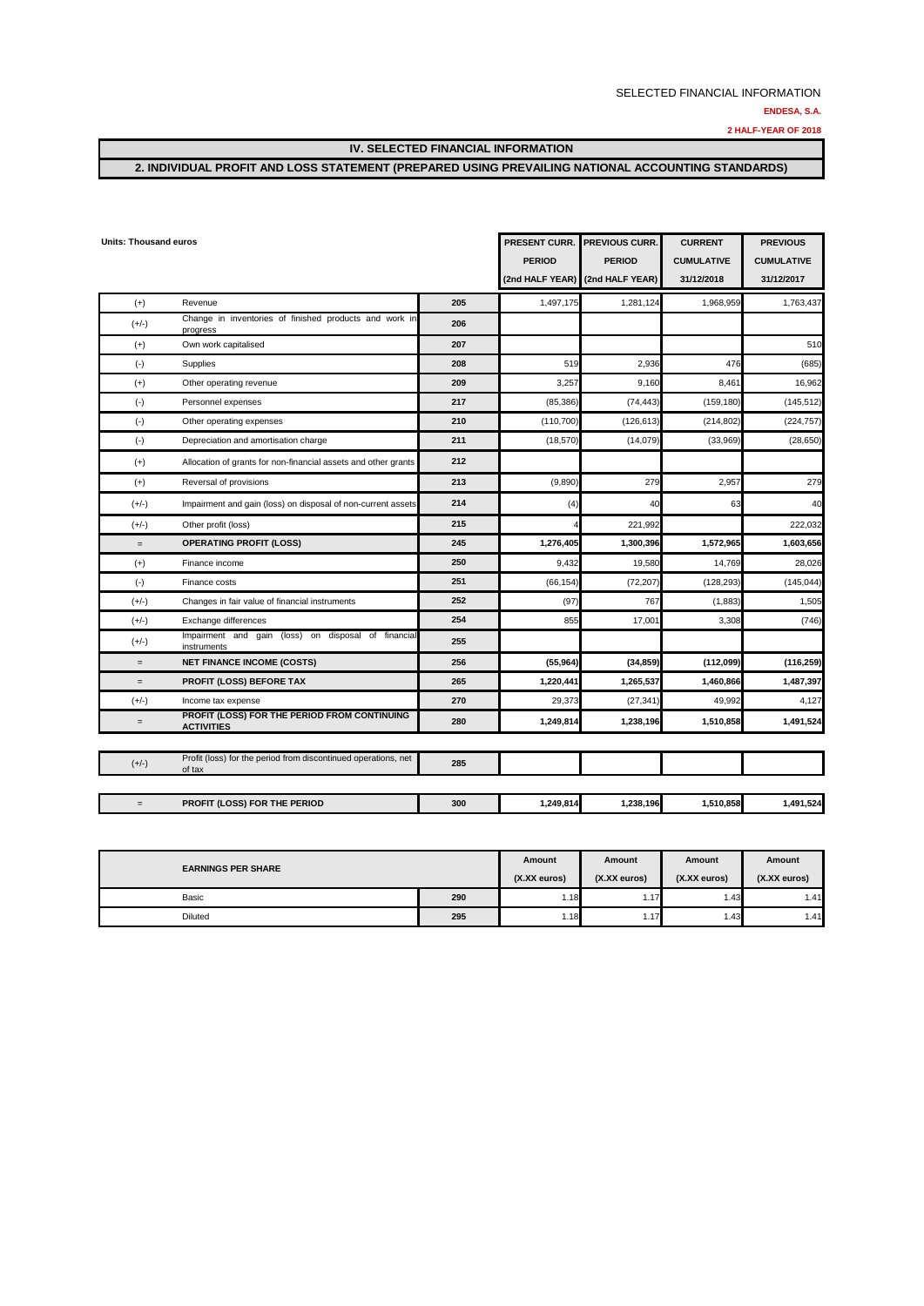**2 HALF-YEAR OF 2018**

**IV. SELECTED FINANCIAL INFORMATION**

### **2. INDIVIDUAL PROFIT AND LOSS STATEMENT (PREPARED USING PREVAILING NATIONAL ACCOUNTING STANDARDS)**

| <b>Units: Thousand euros</b> |                                                                          |     | PRESENT CURR.<br><b>PERIOD</b><br>(2nd HALF YEAR) | PREVIOUS CURR.<br><b>PERIOD</b><br>(2nd HALF YEAR) | <b>CURRENT</b><br><b>CUMULATIVE</b><br>31/12/2018 | <b>PREVIOUS</b><br><b>CUMULATIVE</b><br>31/12/2017 |
|------------------------------|--------------------------------------------------------------------------|-----|---------------------------------------------------|----------------------------------------------------|---------------------------------------------------|----------------------------------------------------|
| $(+)$                        | Revenue                                                                  | 205 | 1,497,175                                         | 1,281,124                                          | 1,968,959                                         | 1,763,437                                          |
| $(+/-)$                      | Change in inventories of finished products and work in<br>progress       | 206 |                                                   |                                                    |                                                   |                                                    |
| $(+)$                        | Own work capitalised                                                     | 207 |                                                   |                                                    |                                                   | 510                                                |
| $(-)$                        | Supplies                                                                 | 208 | 519                                               | 2,936                                              | 476                                               | (685)                                              |
| $(+)$                        | Other operating revenue                                                  | 209 | 3,257                                             | 9,160                                              | 8,461                                             | 16,962                                             |
| $(-)$                        | Personnel expenses                                                       | 217 | (85, 386)                                         | (74, 443)                                          | (159, 180)                                        | (145, 512)                                         |
| $(\cdot)$                    | Other operating expenses                                                 | 210 | (110, 700)                                        | (126, 613)                                         | (214, 802)                                        | (224, 757)                                         |
| $(-)$                        | Depreciation and amortisation charge                                     | 211 | (18,570)                                          | (14,079)                                           | (33,969)                                          | (28, 650)                                          |
| $(+)$                        | Allocation of grants for non-financial assets and other grants           | 212 |                                                   |                                                    |                                                   |                                                    |
| $(+)$                        | Reversal of provisions                                                   | 213 | (9,890)                                           | 279                                                | 2.957                                             | 279                                                |
| $(+/-)$                      | Impairment and gain (loss) on disposal of non-current assets             | 214 | (4)                                               | 40                                                 | 63                                                | 40                                                 |
| $(+/-)$                      | Other profit (loss)                                                      | 215 |                                                   | 221,992                                            |                                                   | 222,032                                            |
| $=$                          | <b>OPERATING PROFIT (LOSS)</b>                                           | 245 | 1,276,405                                         | 1,300,396                                          | 1,572,965                                         | 1,603,656                                          |
| $(+)$                        | Finance income                                                           | 250 | 9,432                                             | 19,580                                             | 14,769                                            | 28,026                                             |
| $(\cdot)$                    | Finance costs                                                            | 251 | (66, 154)                                         | (72, 207)                                          | (128, 293)                                        | (145, 044)                                         |
| $(+/-)$                      | Changes in fair value of financial instruments                           | 252 | (97)                                              | 767                                                | (1,883)                                           | 1,505                                              |
| $(+/-)$                      | Exchange differences                                                     | 254 | 855                                               | 17,001                                             | 3,308                                             | (746)                                              |
| $(+/-)$                      | Impairment and gain (loss) on disposal of financial<br>instruments       | 255 |                                                   |                                                    |                                                   |                                                    |
| $=$                          | <b>NET FINANCE INCOME (COSTS)</b>                                        | 256 | (55, 964)                                         | (34, 859)                                          | (112,099)                                         | (116, 259)                                         |
| $=$                          | PROFIT (LOSS) BEFORE TAX                                                 | 265 | 1,220,441                                         | 1,265,537                                          | 1,460,866                                         | 1,487,397                                          |
| $(+/-)$                      | Income tax expense                                                       | 270 | 29,373                                            | (27, 341)                                          | 49,992                                            | 4,127                                              |
| $=$                          | PROFIT (LOSS) FOR THE PERIOD FROM CONTINUING<br><b>ACTIVITIES</b>        | 280 | 1,249,814                                         | 1,238,196                                          | 1,510,858                                         | 1,491,524                                          |
|                              |                                                                          |     |                                                   |                                                    |                                                   |                                                    |
| $(+/-)$                      | Profit (loss) for the period from discontinued operations, net<br>of tax | 285 |                                                   |                                                    |                                                   |                                                    |
|                              |                                                                          |     |                                                   |                                                    |                                                   |                                                    |
| $=$                          | PROFIT (LOSS) FOR THE PERIOD                                             | 300 | 1,249,814                                         | 1,238,196                                          | 1,510,858                                         | 1,491,524                                          |

| <b>EARNINGS PER SHARE</b> |     |              | Amount       | Amount       | Amount       |
|---------------------------|-----|--------------|--------------|--------------|--------------|
|                           |     | (X.XX euros) | (X.XX euros) | (X.XX euros) | (X.XX euros) |
| Basic                     | 290 | 1.18         | 1.17         | 1.43         | 1.41         |
| Diluted                   | 295 | 1.18         | 1.17         | 1.43         | 1.41         |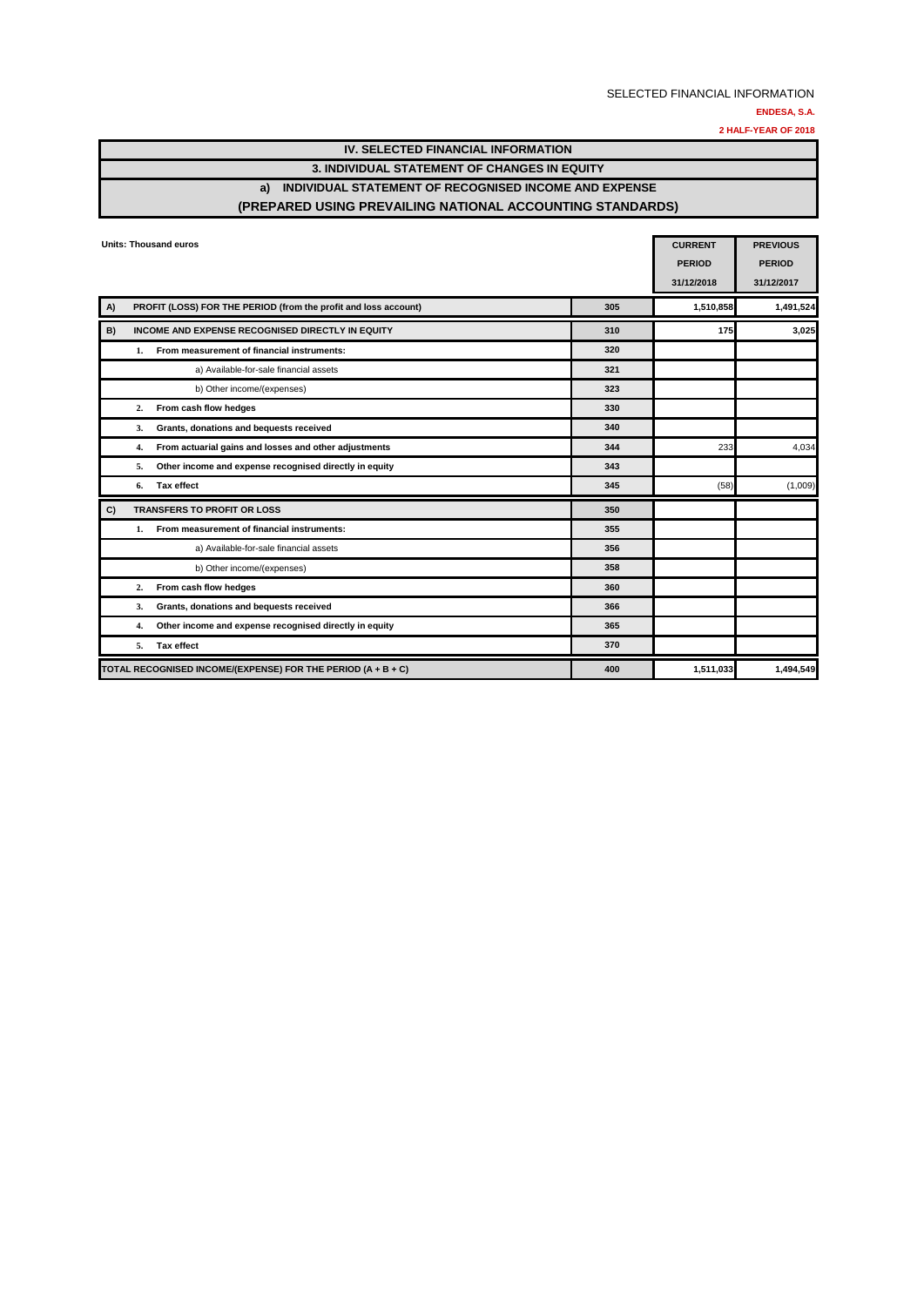**2 HALF-YEAR OF 2018**

| IV. SELECTED FINANCIAL INFORMATION                          |                                   |
|-------------------------------------------------------------|-----------------------------------|
| <b>3. INDIVIDUAL STATEMENT OF CHANGES IN EQUITY</b>         |                                   |
| INDIVIDUAL STATEMENT OF RECOGNISED INCOME AND EXPENSE<br>a) |                                   |
| (PREPARED USING PREVAILING NATIONAL ACCOUNTING STANDARDS)   |                                   |
|                                                             |                                   |
| Units: Thousand euros                                       | <b>PREVIOUS</b><br><b>CURRENT</b> |

|    | UIIIIS: THUUSAHU BUTUS                                          |     | <b>CURRENI</b><br><b>PERIOD</b><br>31/12/2018 | PREVIOUS<br><b>PERIOD</b><br>31/12/2017 |
|----|-----------------------------------------------------------------|-----|-----------------------------------------------|-----------------------------------------|
| A) | PROFIT (LOSS) FOR THE PERIOD (from the profit and loss account) | 305 | 1,510,858                                     | 1,491,524                               |
| B) | INCOME AND EXPENSE RECOGNISED DIRECTLY IN EQUITY                | 310 | 175                                           | 3,025                                   |
|    | From measurement of financial instruments:<br>1.                | 320 |                                               |                                         |
|    | a) Available-for-sale financial assets                          | 321 |                                               |                                         |
|    | b) Other income/(expenses)                                      | 323 |                                               |                                         |
|    | From cash flow hedges<br>2.                                     | 330 |                                               |                                         |
|    | Grants, donations and bequests received<br>3.                   | 340 |                                               |                                         |
|    | From actuarial gains and losses and other adjustments<br>4.     | 344 | 233                                           | 4,034                                   |
|    | Other income and expense recognised directly in equity<br>5.    | 343 |                                               |                                         |
|    | Tax effect<br>6.                                                | 345 | (58)                                          | (1,009)                                 |
| C) | TRANSFERS TO PROFIT OR LOSS                                     | 350 |                                               |                                         |
|    | From measurement of financial instruments:<br>1.                | 355 |                                               |                                         |
|    | a) Available-for-sale financial assets                          | 356 |                                               |                                         |
|    | b) Other income/(expenses)                                      | 358 |                                               |                                         |
|    | From cash flow hedges<br>2.                                     | 360 |                                               |                                         |
|    | Grants, donations and bequests received<br>3.                   | 366 |                                               |                                         |
|    | Other income and expense recognised directly in equity<br>4.    | 365 |                                               |                                         |
|    | Tax effect<br>5.                                                | 370 |                                               |                                         |
|    | TOTAL RECOGNISED INCOME/(EXPENSE) FOR THE PERIOD (A + B + C)    | 400 | 1,511,033                                     | 1,494,549                               |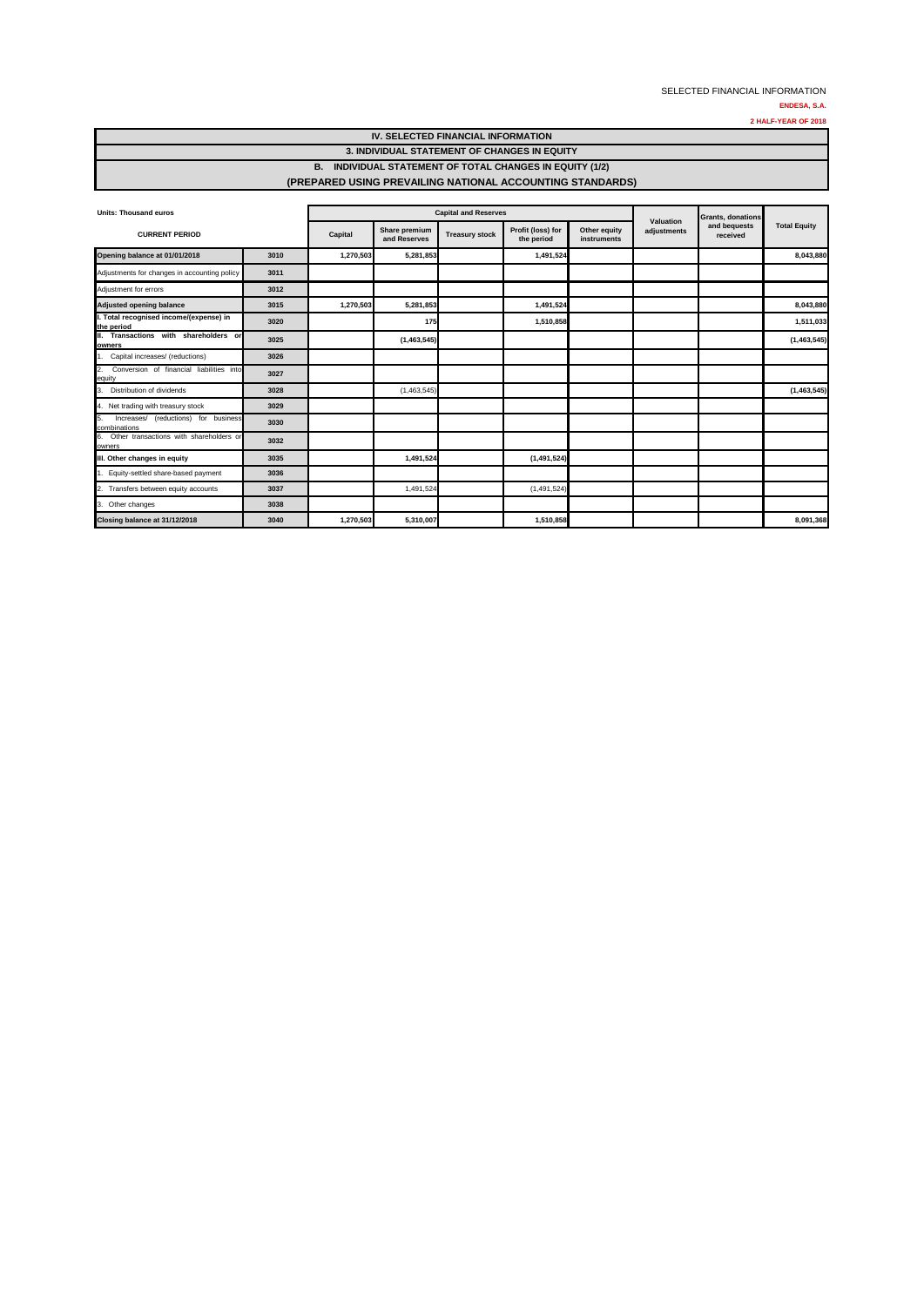| IV. SELECTED FINANCIAL INFORMATION                        |
|-----------------------------------------------------------|
| 3. INDIVIDUAL STATEMENT OF CHANGES IN EQUITY              |
| B. INDIVIDUAL STATEMENT OF TOTAL CHANGES IN EQUITY (1/2)  |
| (PREPARED USING PREVAILING NATIONAL ACCOUNTING STANDARDS) |

| <b>Units: Thousand euros</b>                                         |      |           | <b>Capital and Reserves</b>   |                       | <b>Grants, donations</b>        |                             |                          |                          |                     |
|----------------------------------------------------------------------|------|-----------|-------------------------------|-----------------------|---------------------------------|-----------------------------|--------------------------|--------------------------|---------------------|
| <b>CURRENT PERIOD</b>                                                |      | Capital   | Share premium<br>and Reserves | <b>Treasury stock</b> | Profit (loss) for<br>the period | Other equity<br>instruments | Valuation<br>adjustments | and bequests<br>received | <b>Total Equity</b> |
| Opening balance at 01/01/2018                                        | 3010 | 1,270,503 | 5,281,853                     |                       | 1,491,524                       |                             |                          |                          | 8,043,880           |
| Adjustments for changes in accounting policy                         | 3011 |           |                               |                       |                                 |                             |                          |                          |                     |
| Adjustment for errors                                                | 3012 |           |                               |                       |                                 |                             |                          |                          |                     |
| <b>Adjusted opening balance</b>                                      | 3015 | 1,270,503 | 5,281,853                     |                       | 1,491,524                       |                             |                          |                          | 8,043,880           |
| I. Total recognised income/(expense) in<br>the period                | 3020 |           | 175                           |                       | 1,510,858                       |                             |                          |                          | 1,511,033           |
| II. Transactions with shareholders or<br>owners                      | 3025 |           | (1,463,545)                   |                       |                                 |                             |                          |                          | (1,463,545)         |
| Capital increases/ (reductions)                                      | 3026 |           |                               |                       |                                 |                             |                          |                          |                     |
| Conversion of financial liabilities into<br>$\overline{2}$<br>equity | 3027 |           |                               |                       |                                 |                             |                          |                          |                     |
| Distribution of dividends<br>3.                                      | 3028 |           | (1,463,545)                   |                       |                                 |                             |                          |                          | (1,463,545)         |
| 4. Net trading with treasury stock                                   | 3029 |           |                               |                       |                                 |                             |                          |                          |                     |
| Increases/ (reductions) for business<br>5.<br>combinations           | 3030 |           |                               |                       |                                 |                             |                          |                          |                     |
| 6. Other transactions with shareholders or<br>owners                 | 3032 |           |                               |                       |                                 |                             |                          |                          |                     |
| III. Other changes in equity                                         | 3035 |           | 1,491,524                     |                       | (1, 491, 524)                   |                             |                          |                          |                     |
| 1. Equity-settled share-based payment                                | 3036 |           |                               |                       |                                 |                             |                          |                          |                     |
| 2. Transfers between equity accounts                                 | 3037 |           | 1,491,524                     |                       | (1,491,524)                     |                             |                          |                          |                     |
| 3. Other changes                                                     | 3038 |           |                               |                       |                                 |                             |                          |                          |                     |
| Closing balance at 31/12/2018                                        | 3040 | 1,270,503 | 5,310,007                     |                       | 1,510,858                       |                             |                          |                          | 8,091,368           |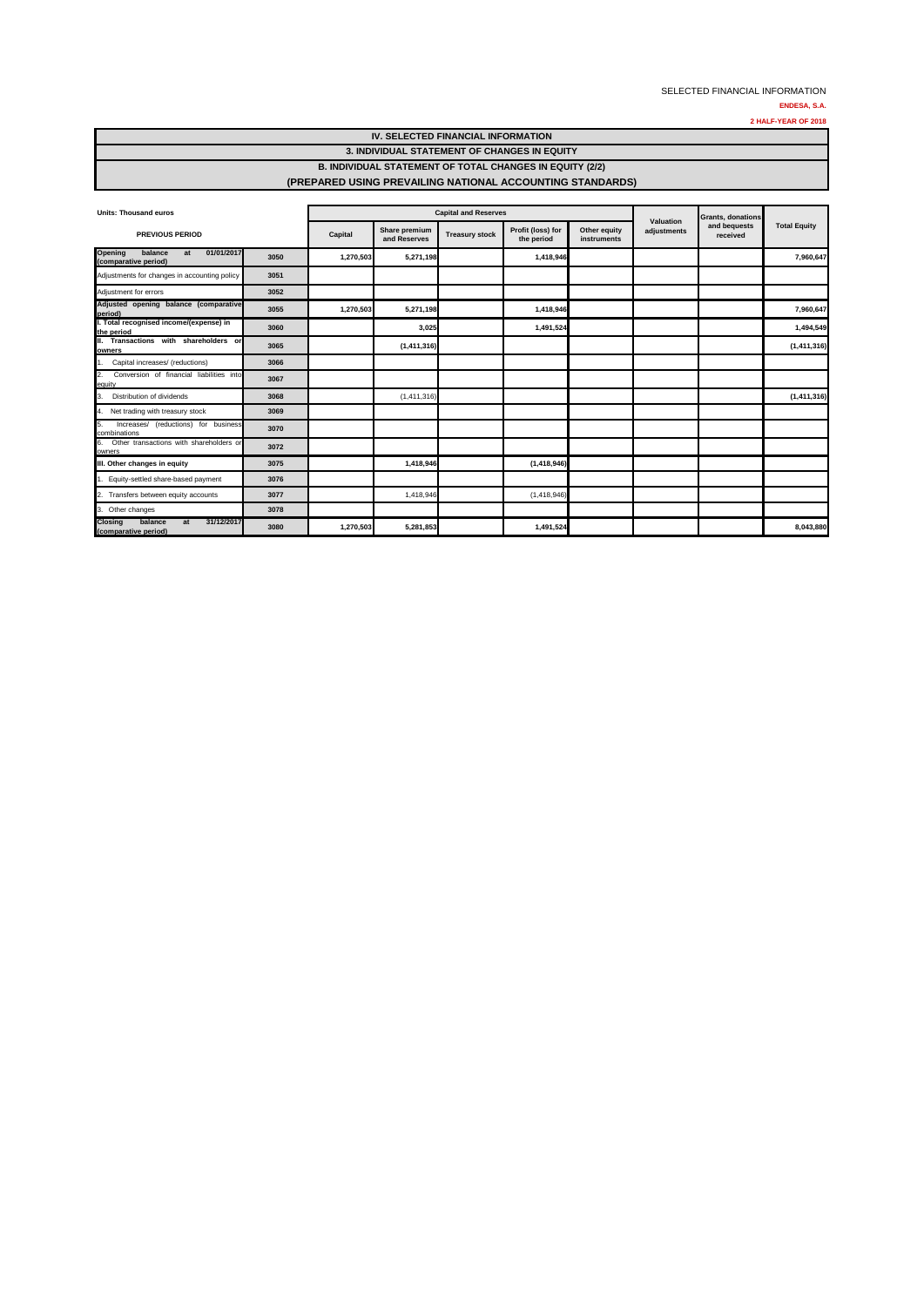| IV. SELECTED FINANCIAL INFORMATION                              |
|-----------------------------------------------------------------|
| 3. INDIVIDUAL STATEMENT OF CHANGES IN EQUITY                    |
| <b>B. INDIVIDUAL STATEMENT OF TOTAL CHANGES IN EQUITY (2/2)</b> |
| (PREPARED USING PREVAILING NATIONAL ACCOUNTING STANDARDS)       |

| <b>Units: Thousand euros</b>                                          |      |           | <b>Capital and Reserves</b>   |                       |                                 | Valuation                   | <b>Grants, donations</b> | <b>Total Equity</b> |                          |
|-----------------------------------------------------------------------|------|-----------|-------------------------------|-----------------------|---------------------------------|-----------------------------|--------------------------|---------------------|--------------------------|
| <b>PREVIOUS PERIOD</b>                                                |      | Capital   | Share premium<br>and Reserves | <b>Treasury stock</b> | Profit (loss) for<br>the period | Other equity<br>instruments | adjustments              |                     | and bequests<br>received |
| 01/01/2017<br>Opening<br>balance<br>at<br>(comparative period)        | 3050 | 1,270,503 | 5,271,198                     |                       | 1,418,946                       |                             |                          |                     | 7,960,647                |
| Adjustments for changes in accounting policy                          | 3051 |           |                               |                       |                                 |                             |                          |                     |                          |
| Adjustment for errors                                                 | 3052 |           |                               |                       |                                 |                             |                          |                     |                          |
| Adjusted opening balance (comparative<br>period)                      | 3055 | 1,270,503 | 5,271,198                     |                       | 1,418,946                       |                             |                          |                     | 7,960,647                |
| I. Total recognised income/(expense) in<br>the period                 | 3060 |           | 3,025                         |                       | 1,491,524                       |                             |                          |                     | 1,494,549                |
| II. Transactions with shareholders or<br>owners                       | 3065 |           | (1, 411, 316)                 |                       |                                 |                             |                          |                     | (1, 411, 316)            |
| Capital increases/ (reductions)                                       | 3066 |           |                               |                       |                                 |                             |                          |                     |                          |
| Conversion of financial liabilities into<br>2.<br>equity              | 3067 |           |                               |                       |                                 |                             |                          |                     |                          |
| Distribution of dividends<br>3.                                       | 3068 |           | (1, 411, 316)                 |                       |                                 |                             |                          |                     | (1, 411, 316)            |
| Net trading with treasury stock<br>14.                                | 3069 |           |                               |                       |                                 |                             |                          |                     |                          |
| Increases/ (reductions) for business<br>5.<br>combinations            | 3070 |           |                               |                       |                                 |                             |                          |                     |                          |
| Other transactions with shareholders or<br><b>6.</b><br>owners        | 3072 |           |                               |                       |                                 |                             |                          |                     |                          |
| III. Other changes in equity                                          | 3075 |           | 1,418,946                     |                       | (1, 418, 946)                   |                             |                          |                     |                          |
| Equity-settled share-based payment                                    | 3076 |           |                               |                       |                                 |                             |                          |                     |                          |
| Transfers between equity accounts<br>2.                               | 3077 |           | 1,418,946                     |                       | (1, 418, 946)                   |                             |                          |                     |                          |
| 3. Other changes                                                      | 3078 |           |                               |                       |                                 |                             |                          |                     |                          |
| balance<br>31/12/2017<br><b>Closing</b><br>at<br>(comparative period) | 3080 | 1,270,503 | 5,281,853                     |                       | 1,491,524                       |                             |                          |                     | 8,043,880                |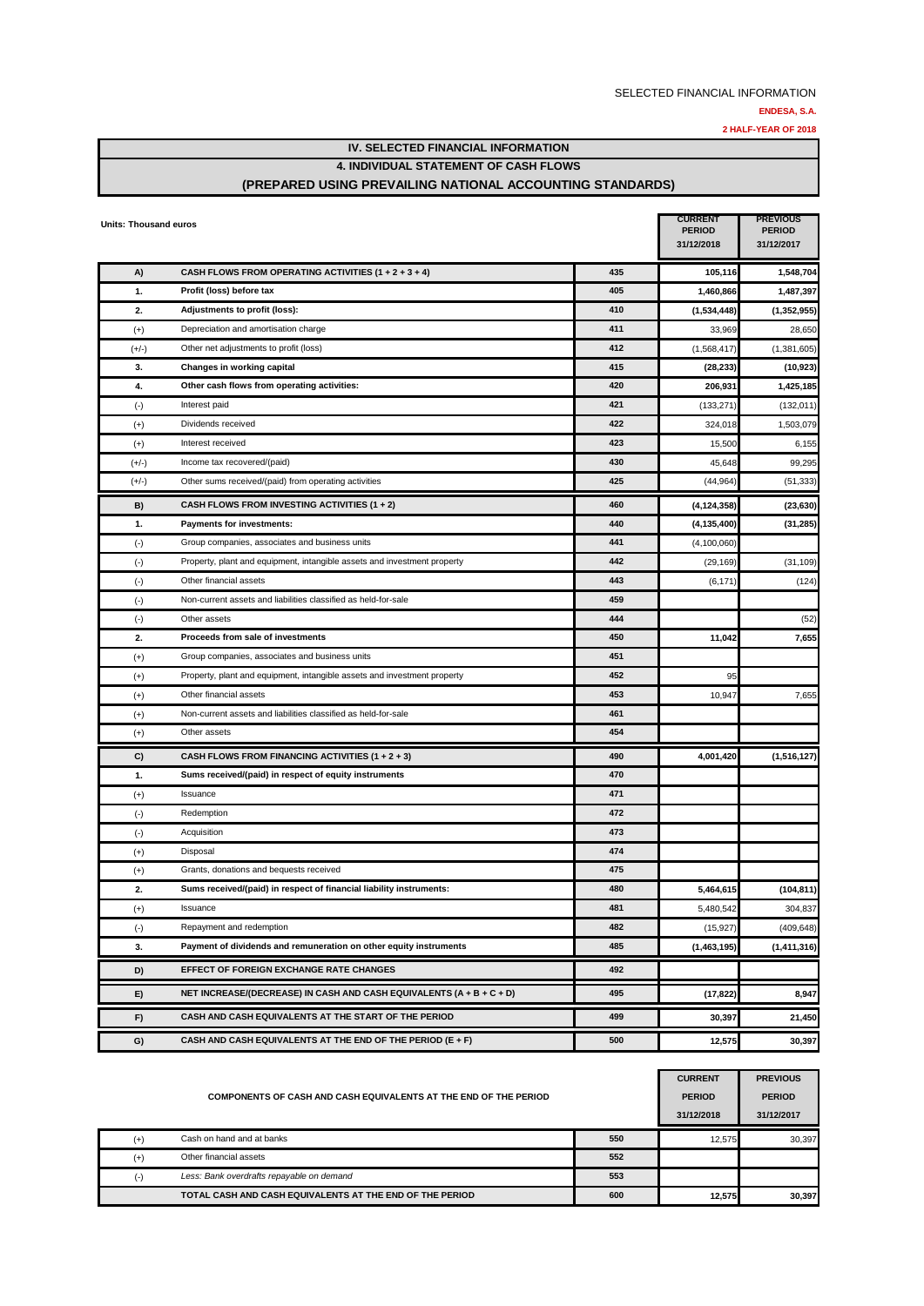**2 HALF-YEAR OF 2018**

**IV. SELECTED FINANCIAL INFORMATION**

#### **4. INDIVIDUAL STATEMENT OF CASH FLOWS**

### **(PREPARED USING PREVAILING NATIONAL ACCOUNTING STANDARDS)**

| <b>Units: Thousand euros</b> |                                                                          |     | <b>CURRENT</b><br><b>PERIOD</b><br>31/12/2018 | <b>PREVIOUS</b><br><b>PERIOD</b><br>31/12/2017 |
|------------------------------|--------------------------------------------------------------------------|-----|-----------------------------------------------|------------------------------------------------|
| A)                           | CASH FLOWS FROM OPERATING ACTIVITIES $(1 + 2 + 3 + 4)$                   | 435 | 105,116                                       | 1,548,704                                      |
| 1.                           | Profit (loss) before tax                                                 | 405 | 1,460,866                                     | 1,487,397                                      |
| 2.                           | Adjustments to profit (loss):                                            | 410 | (1,534,448)                                   | (1, 352, 955)                                  |
| $^{(+)}$                     | Depreciation and amortisation charge                                     | 411 | 33,969                                        | 28,650                                         |
| $(+/-)$                      | Other net adjustments to profit (loss)                                   | 412 | (1,568,417)                                   | (1,381,605)                                    |
| 3.                           | Changes in working capital                                               | 415 | (28, 233)                                     | (10, 923)                                      |
| 4.                           | Other cash flows from operating activities:                              | 420 | 206,931                                       | 1,425,185                                      |
| $(\cdot)$                    | Interest paid                                                            | 421 | (133, 271)                                    | (132, 011)                                     |
| $^{(+)}$                     | Dividends received                                                       | 422 | 324,018                                       | 1,503,079                                      |
| $^{(+)}$                     | Interest received                                                        | 423 | 15,500                                        | 6,155                                          |
| $(+/-)$                      | Income tax recovered/(paid)                                              | 430 | 45,648                                        | 99,295                                         |
| (+/-)                        | Other sums received/(paid) from operating activities                     | 425 | (44, 964)                                     | (51, 333)                                      |
| B)                           | CASH FLOWS FROM INVESTING ACTIVITIES (1 + 2)                             | 460 | (4, 124, 358)                                 | (23, 630)                                      |
| 1.                           | Payments for investments:                                                | 440 | (4, 135, 400)                                 | (31, 285)                                      |
| $(\cdot)$                    | Group companies, associates and business units                           | 441 | (4, 100, 060)                                 |                                                |
| $(\cdot)$                    | Property, plant and equipment, intangible assets and investment property | 442 | (29, 169)                                     | (31, 109)                                      |
| $(\cdot)$                    | Other financial assets                                                   | 443 | (6, 171)                                      | (124)                                          |
| $(\cdot)$                    | Non-current assets and liabilities classified as held-for-sale           | 459 |                                               |                                                |
| $(\cdot)$                    | Other assets                                                             | 444 |                                               | (52)                                           |
| 2.                           | Proceeds from sale of investments                                        | 450 | 11,042                                        | 7,655                                          |
| $(+)$                        | Group companies, associates and business units                           | 451 |                                               |                                                |
| $^{(+)}$                     | Property, plant and equipment, intangible assets and investment property | 452 | 95                                            |                                                |
| $^{(+)}$                     | Other financial assets                                                   | 453 | 10,947                                        | 7,655                                          |
| $^{(+)}$                     | Non-current assets and liabilities classified as held-for-sale           | 461 |                                               |                                                |
| $(+)$                        | Other assets                                                             | 454 |                                               |                                                |
| C)                           | CASH FLOWS FROM FINANCING ACTIVITIES (1 + 2 + 3)                         | 490 | 4,001,420                                     | (1,516,127)                                    |
| 1.                           | Sums received/(paid) in respect of equity instruments                    | 470 |                                               |                                                |
| $^{(+)}$                     | Issuance                                                                 | 471 |                                               |                                                |
| $(\cdot)$                    | Redemption                                                               | 472 |                                               |                                                |
| $(\cdot)$                    | Acquisition                                                              | 473 |                                               |                                                |
| $^{(+)}$                     | Disposal                                                                 | 474 |                                               |                                                |
| $(+)$                        | Grants, donations and bequests received                                  | 475 |                                               |                                                |
| 2.                           | Sums received/(paid) in respect of financial liability instruments:      | 480 | 5,464,615                                     | (104, 811)                                     |
| $^{(+)}$                     | Issuance                                                                 | 481 | 5,480,542                                     | 304,837                                        |
| $(\cdot)$                    | Repayment and redemption                                                 | 482 | (15, 927)                                     | (409, 648)                                     |
| 3.                           | Payment of dividends and remuneration on other equity instruments        | 485 | (1,463,195)                                   | (1,411,316)                                    |
| D)                           | EFFECT OF FOREIGN EXCHANGE RATE CHANGES                                  | 492 |                                               |                                                |
| E)                           | NET INCREASE/(DECREASE) IN CASH AND CASH EQUIVALENTS (A + B + C + D)     | 495 | (17, 822)                                     | 8,947                                          |
| F)                           | CASH AND CASH EQUIVALENTS AT THE START OF THE PERIOD                     | 499 | 30,397                                        | 21,450                                         |
| G)                           | CASH AND CASH EQUIVALENTS AT THE END OF THE PERIOD (E + F)               | 500 | 12,575                                        | 30,397                                         |

|          | COMPONENTS OF CASH AND CASH EQUIVALENTS AT THE END OF THE PERIOD |     | <b>CURRENT</b><br><b>PERIOD</b><br>31/12/2018 | <b>PREVIOUS</b><br><b>PERIOD</b><br>31/12/2017 |
|----------|------------------------------------------------------------------|-----|-----------------------------------------------|------------------------------------------------|
| $^{(+)}$ | Cash on hand and at banks                                        | 550 | 12.575                                        | 30.397                                         |
| $(+)$    | Other financial assets                                           | 552 |                                               |                                                |
|          | Less: Bank overdrafts repayable on demand                        | 553 |                                               |                                                |
|          | TOTAL CASH AND CASH EQUIVALENTS AT THE END OF THE PERIOD         | 600 | 12.575                                        | 30.397                                         |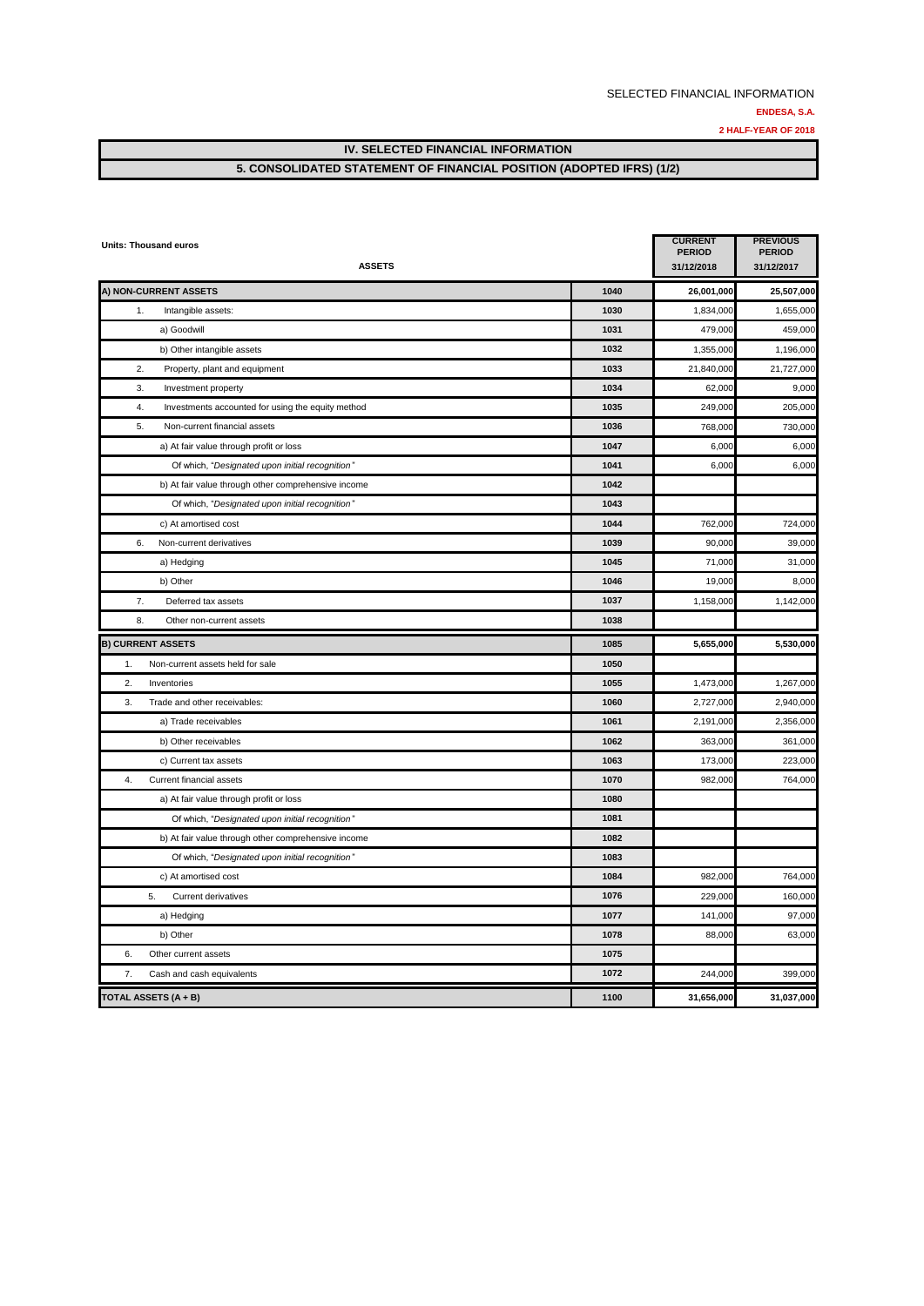### **5. CONSOLIDATED STATEMENT OF FINANCIAL POSITION (ADOPTED IFRS) (1/2)**

| <b>Units: Thousand euros</b><br><b>ASSETS</b>           |      | <b>CURRENT</b><br><b>PERIOD</b><br>31/12/2018 | <b>PREVIOUS</b><br><b>PERIOD</b><br>31/12/2017 |
|---------------------------------------------------------|------|-----------------------------------------------|------------------------------------------------|
| A) NON-CURRENT ASSETS                                   | 1040 | 26,001,000                                    | 25,507,000                                     |
| 1.<br>Intangible assets:                                | 1030 | 1,834,000                                     | 1,655,000                                      |
| a) Goodwill                                             | 1031 | 479,000                                       | 459,000                                        |
| b) Other intangible assets                              | 1032 | 1,355,000                                     | 1,196,000                                      |
| Property, plant and equipment<br>2.                     | 1033 | 21,840,000                                    | 21,727,000                                     |
| 3.<br>Investment property                               | 1034 | 62,000                                        | 9,000                                          |
| 4.<br>Investments accounted for using the equity method | 1035 | 249,000                                       | 205,000                                        |
| 5.<br>Non-current financial assets                      | 1036 | 768,000                                       | 730,000                                        |
| a) At fair value through profit or loss                 | 1047 | 6,000                                         | 6,000                                          |
| Of which, "Designated upon initial recognition"         | 1041 | 6,000                                         | 6,000                                          |
| b) At fair value through other comprehensive income     | 1042 |                                               |                                                |
| Of which, "Designated upon initial recognition"         | 1043 |                                               |                                                |
| c) At amortised cost                                    | 1044 | 762,000                                       | 724,000                                        |
| 6.<br>Non-current derivatives                           | 1039 | 90,000                                        | 39,000                                         |
| a) Hedging                                              | 1045 | 71,000                                        | 31,000                                         |
| b) Other                                                | 1046 | 19,000                                        | 8,000                                          |
| 7.<br>Deferred tax assets                               | 1037 | 1,158,000                                     | 1,142,000                                      |
| 8.<br>Other non-current assets                          | 1038 |                                               |                                                |
| <b>B) CURRENT ASSETS</b>                                | 1085 | 5,655,000                                     | 5,530,000                                      |
| Non-current assets held for sale<br>1.                  | 1050 |                                               |                                                |
| 2.<br>Inventories                                       | 1055 | 1,473,000                                     | 1,267,000                                      |
| Trade and other receivables:<br>3.                      | 1060 | 2,727,000                                     | 2,940,000                                      |
| a) Trade receivables                                    | 1061 | 2,191,000                                     | 2,356,000                                      |
| b) Other receivables                                    | 1062 | 363,000                                       | 361,000                                        |
| c) Current tax assets                                   | 1063 | 173,000                                       | 223,000                                        |
| 4.<br>Current financial assets                          | 1070 | 982,000                                       | 764,000                                        |
| a) At fair value through profit or loss                 | 1080 |                                               |                                                |
| Of which, "Designated upon initial recognition"         | 1081 |                                               |                                                |
| b) At fair value through other comprehensive income     | 1082 |                                               |                                                |
| Of which, "Designated upon initial recognition"         | 1083 |                                               |                                                |
| c) At amortised cost                                    | 1084 | 982,000                                       | 764,000                                        |
| 5.<br><b>Current derivatives</b>                        | 1076 | 229,000                                       | 160,000                                        |
| a) Hedging                                              | 1077 | 141,000                                       | 97,000                                         |
| b) Other                                                | 1078 | 88,000                                        | 63,000                                         |
| 6.<br>Other current assets                              | 1075 |                                               |                                                |
| 7.<br>Cash and cash equivalents                         | 1072 | 244,000                                       | 399,000                                        |
| <b>TOTAL ASSETS (A + B)</b>                             | 1100 | 31,656,000                                    | 31,037,000                                     |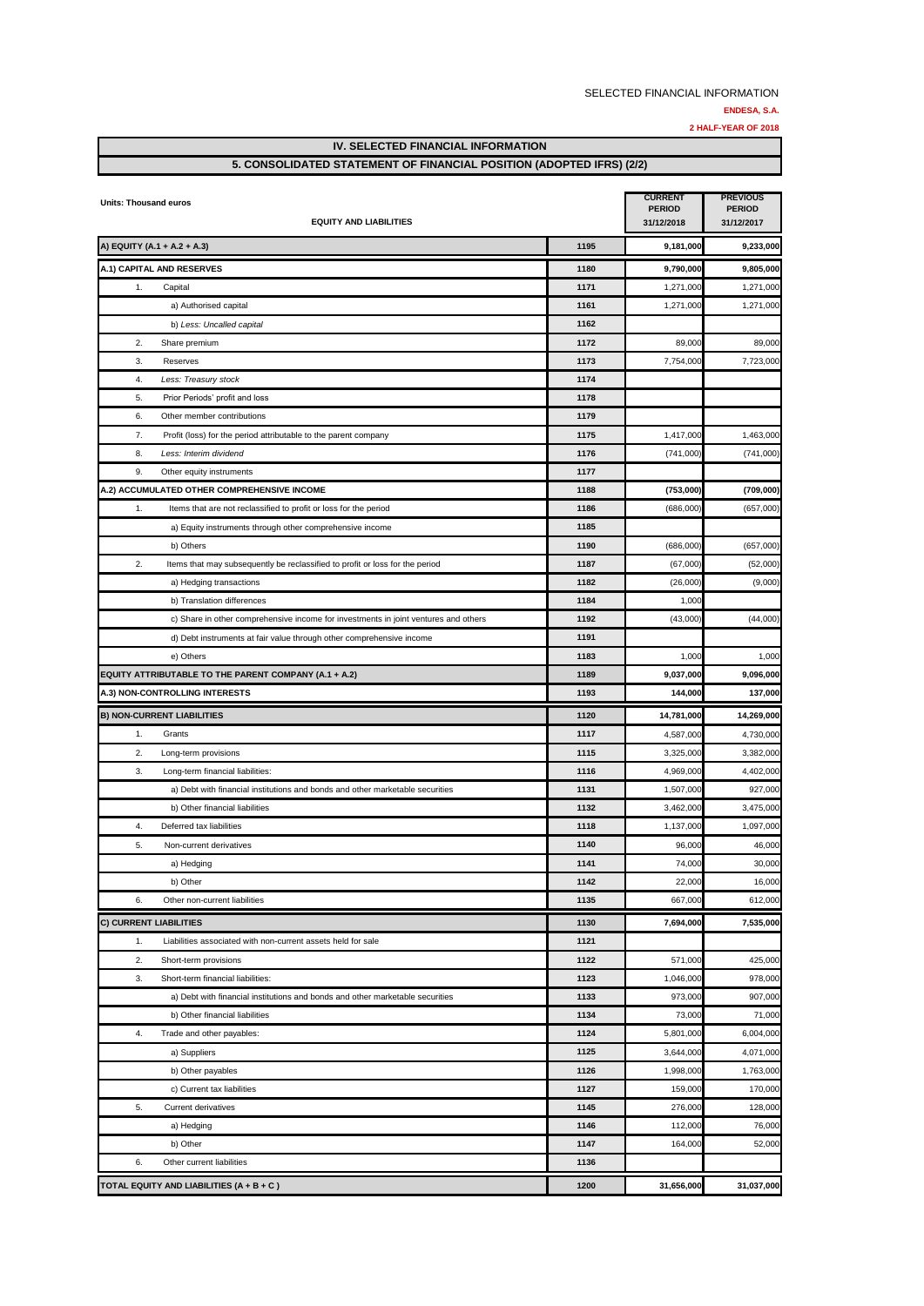**2 HALF-YEAR OF 2018**

**IV. SELECTED FINANCIAL INFORMATION** 

## **5. CONSOLIDATED STATEMENT OF FINANCIAL POSITION (ADOPTED IFRS) (2/2)**

| Units: Thousand euros         | <b>EQUITY AND LIABILITIES</b>                                                       | <b>CURRENT</b><br><b>PERIOD</b><br>31/12/2018 | <b>PREVIOUS</b><br><b>PERIOD</b><br>31/12/2017 |            |
|-------------------------------|-------------------------------------------------------------------------------------|-----------------------------------------------|------------------------------------------------|------------|
|                               | A) EQUITY (A.1 + A.2 + A.3)                                                         | 1195                                          | 9,181,000                                      | 9,233,000  |
|                               | A.1) CAPITAL AND RESERVES                                                           | 1180                                          | 9,790,000                                      | 9,805,000  |
| 1.                            | Capital                                                                             | 1171                                          | 1,271,000                                      | 1,271,000  |
|                               | a) Authorised capital                                                               | 1161                                          | 1,271,000                                      | 1,271,000  |
|                               | b) Less: Uncalled capital                                                           | 1162                                          |                                                |            |
| 2.                            | Share premium                                                                       | 1172                                          | 89,000                                         | 89,000     |
| 3.                            | Reserves                                                                            | 1173                                          | 7,754,000                                      | 7,723,000  |
| 4.                            | Less: Treasury stock                                                                | 1174                                          |                                                |            |
| 5.                            | Prior Periods' profit and loss                                                      | 1178                                          |                                                |            |
| 6.                            | Other member contributions                                                          | 1179                                          |                                                |            |
| 7.                            | Profit (loss) for the period attributable to the parent company                     | 1175                                          | 1,417,000                                      | 1,463,000  |
| 8.                            | Less: Interim dividend                                                              | 1176                                          | (741,000)                                      | (741,000)  |
| 9.                            | Other equity instruments                                                            | 1177                                          |                                                |            |
|                               | A.2) ACCUMULATED OTHER COMPREHENSIVE INCOME                                         | 1188                                          | (753,000)                                      | (709,000)  |
| 1.                            | Items that are not reclassified to profit or loss for the period                    | 1186                                          | (686,000)                                      | (657,000)  |
|                               | a) Equity instruments through other comprehensive income                            | 1185                                          |                                                |            |
|                               | b) Others                                                                           | 1190                                          | (686,000)                                      | (657,000)  |
| 2.                            | Items that may subsequently be reclassified to profit or loss for the period        | 1187                                          | (67,000)                                       | (52,000)   |
|                               | a) Hedging transactions                                                             | 1182                                          | (26,000)                                       | (9,000)    |
|                               | b) Translation differences                                                          | 1184                                          | 1,000                                          |            |
|                               | c) Share in other comprehensive income for investments in joint ventures and others | 1192                                          | (43,000)                                       | (44,000)   |
|                               | d) Debt instruments at fair value through other comprehensive income                | 1191                                          |                                                |            |
|                               | e) Others                                                                           | 1183                                          | 1,000                                          | 1,000      |
|                               | EQUITY ATTRIBUTABLE TO THE PARENT COMPANY (A.1 + A.2)                               | 1189                                          | 9,037,000                                      | 9,096,000  |
|                               | A.3) NON-CONTROLLING INTERESTS                                                      | 1193                                          | 144,000                                        | 137,000    |
|                               | <b>B) NON-CURRENT LIABILITIES</b>                                                   | 1120                                          | 14,781,000                                     | 14,269,000 |
| 1.                            | Grants                                                                              | 1117                                          | 4,587,000                                      | 4,730,000  |
| 2.                            | Long-term provisions                                                                | 1115                                          | 3,325,000                                      | 3,382,000  |
| 3.                            | Long-term financial liabilities:                                                    | 1116                                          | 4,969,000                                      | 4,402,000  |
|                               | a) Debt with financial institutions and bonds and other marketable securities       | 1131                                          | 1,507,000                                      | 927,000    |
|                               | b) Other financial liabilities                                                      | 1132                                          | 3,462,000                                      | 3,475,000  |
| 4.                            | Deferred tax liabilities                                                            | 1118                                          | 1,137,000                                      | 1,097,000  |
| 5.                            | Non-current derivatives                                                             | 1140                                          | 96,000                                         | 46,000     |
|                               | a) Hedging                                                                          | 1141                                          | 74,000                                         | 30,000     |
|                               | b) Other                                                                            | 1142                                          | 22,000                                         | 16,000     |
| 6.                            | Other non-current liabilities                                                       | 1135                                          | 667,000                                        | 612,000    |
| <b>C) CURRENT LIABILITIES</b> |                                                                                     | 1130                                          | 7,694,000                                      | 7,535,000  |
| 1.                            | Liabilities associated with non-current assets held for sale                        | 1121                                          |                                                |            |
| 2.                            | Short-term provisions                                                               | 1122                                          | 571,000                                        | 425,000    |
| 3.                            | Short-term financial liabilities:                                                   | 1123                                          | 1,046,000                                      | 978,000    |
|                               | a) Debt with financial institutions and bonds and other marketable securities       | 1133                                          | 973,000                                        | 907,000    |
|                               | b) Other financial liabilities                                                      | 1134                                          | 73,000                                         | 71,000     |
| 4.                            | Trade and other payables:                                                           | 1124                                          | 5,801,000                                      | 6,004,000  |
|                               | a) Suppliers                                                                        | 1125                                          | 3,644,000                                      | 4,071,000  |
|                               | b) Other payables                                                                   | 1126                                          | 1,998,000                                      | 1,763,000  |
|                               | c) Current tax liabilities                                                          | 1127                                          | 159,000                                        | 170,000    |
| 5.                            | <b>Current derivatives</b>                                                          | 1145                                          | 276,000                                        | 128,000    |
|                               | a) Hedging                                                                          | 1146                                          | 112,000                                        | 76,000     |
|                               | b) Other                                                                            | 1147                                          | 164,000                                        | 52,000     |
| 6.                            | Other current liabilities                                                           | 1136                                          |                                                |            |
|                               | TOTAL EQUITY AND LIABILITIES (A + B + C)                                            | 1200                                          | 31,656,000                                     | 31,037,000 |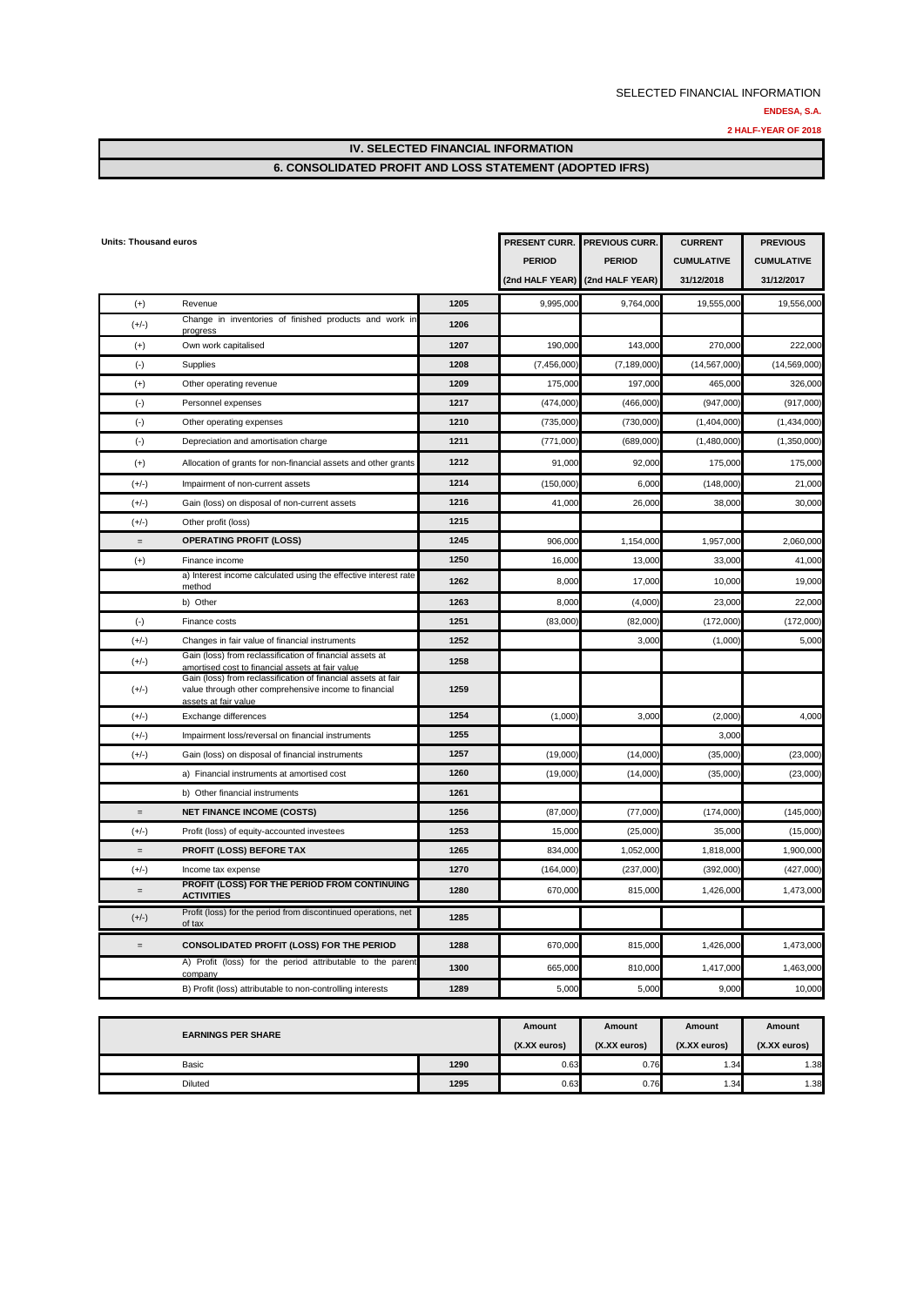### **6. CONSOLIDATED PROFIT AND LOSS STATEMENT (ADOPTED IFRS)**

| <b>Units: Thousand euros</b> |                                                                                                                                                |      | PRESENT CURR.   | <b>PREVIOUS CURR.</b> | <b>CURRENT</b>    | <b>PREVIOUS</b>   |
|------------------------------|------------------------------------------------------------------------------------------------------------------------------------------------|------|-----------------|-----------------------|-------------------|-------------------|
|                              |                                                                                                                                                |      | <b>PERIOD</b>   | <b>PERIOD</b>         | <b>CUMULATIVE</b> | <b>CUMULATIVE</b> |
|                              |                                                                                                                                                |      | (2nd HALF YEAR) | (2nd HALF YEAR)       | 31/12/2018        | 31/12/2017        |
| $(+)$                        | Revenue                                                                                                                                        | 1205 | 9,995,000       | 9,764,000             | 19,555,000        | 19,556,000        |
| $(+/-)$                      | Change in inventories of finished products and work in<br>progress                                                                             | 1206 |                 |                       |                   |                   |
| $^{(+)}$                     | Own work capitalised                                                                                                                           | 1207 | 190,000         | 143,000               | 270,000           | 222,000           |
| $(\cdot)$                    | Supplies                                                                                                                                       | 1208 | (7,456,000)     | (7, 189, 000)         | (14, 567, 000)    | (14,569,000)      |
| $(+)$                        | Other operating revenue                                                                                                                        | 1209 | 175,000         | 197,000               | 465,000           | 326,000           |
| $(\cdot)$                    | Personnel expenses                                                                                                                             | 1217 | (474,000)       | (466,000)             | (947,000)         | (917,000)         |
| $(\cdot)$                    | Other operating expenses                                                                                                                       | 1210 | (735,000        | (730,000)             | (1,404,000)       | (1,434,000)       |
| $(\cdot)$                    | Depreciation and amortisation charge                                                                                                           | 1211 | (771,000)       | (689,000)             | (1,480,000)       | (1,350,000)       |
| $^{(+)}$                     | Allocation of grants for non-financial assets and other grants                                                                                 | 1212 | 91,000          | 92,000                | 175,000           | 175,000           |
| $(+/-)$                      | Impairment of non-current assets                                                                                                               | 1214 | (150,000        | 6,000                 | (148,000)         | 21,000            |
| $(+/-)$                      | Gain (loss) on disposal of non-current assets                                                                                                  | 1216 | 41,000          | 26,000                | 38,000            | 30,000            |
| $(+/-)$                      | Other profit (loss)                                                                                                                            | 1215 |                 |                       |                   |                   |
| $\,=\,$                      | <b>OPERATING PROFIT (LOSS)</b>                                                                                                                 | 1245 | 906,00          | 1,154,000             | 1,957,000         | 2,060,000         |
| $^{(+)}$                     | Finance income                                                                                                                                 | 1250 | 16,000          | 13,000                | 33,000            | 41,000            |
|                              | a) Interest income calculated using the effective interest rate<br>method                                                                      | 1262 | 8,000           | 17,000                | 10,000            | 19,000            |
|                              | b) Other                                                                                                                                       | 1263 | 8.000           | (4,000)               | 23,000            | 22,000            |
| $(\cdot)$                    | Finance costs                                                                                                                                  | 1251 | (83,000)        | (82,000)              | (172,000)         | (172,000)         |
| $(+/-)$                      | Changes in fair value of financial instruments                                                                                                 | 1252 |                 | 3,000                 | (1,000)           | 5,000             |
| $(+/-)$                      | Gain (loss) from reclassification of financial assets at<br>amortised cost to financial assets at fair value                                   | 1258 |                 |                       |                   |                   |
| $(+/-)$                      | Gain (loss) from reclassification of financial assets at fair<br>value through other comprehensive income to financial<br>assets at fair value | 1259 |                 |                       |                   |                   |
| $(+/-)$                      | Exchange differences                                                                                                                           | 1254 | (1,000)         | 3,000                 | (2,000)           | 4,000             |
| $(+/-)$                      | Impairment loss/reversal on financial instruments                                                                                              | 1255 |                 |                       | 3,000             |                   |
| $(+/-)$                      | Gain (loss) on disposal of financial instruments                                                                                               | 1257 | (19,000)        | (14,000)              | (35,000)          | (23,000)          |
|                              | a) Financial instruments at amortised cost                                                                                                     | 1260 | (19,000)        | (14,000)              | (35,000)          | (23,000)          |
|                              | b) Other financial instruments                                                                                                                 | 1261 |                 |                       |                   |                   |
|                              | <b>NET FINANCE INCOME (COSTS)</b>                                                                                                              | 1256 | (87,000)        | (77,000)              | (174,000)         | (145,000)         |
| $(+/-)$                      | Profit (loss) of equity-accounted investees                                                                                                    | 1253 | 15,000          | (25,000)              | 35,000            | (15,000)          |
| $\equiv$                     | PROFIT (LOSS) BEFORE TAX                                                                                                                       | 1265 | 834,000         | 1,052,000             | 1,818,000         | 1,900,000         |
| $(+/-)$                      | Income tax expense                                                                                                                             | 1270 | (164,000        | (237,000)             | (392,000)         | (427,000)         |
| $=$                          | PROFIT (LOSS) FOR THE PERIOD FROM CONTINUING<br><b>ACTIVITIES</b>                                                                              | 1280 | 670,000         | 815,000               | 1,426,000         | 1,473,000         |
| $(+/-)$                      | Profit (loss) for the period from discontinued operations, net<br>of tax                                                                       | 1285 |                 |                       |                   |                   |
| $=$                          | <b>CONSOLIDATED PROFIT (LOSS) FOR THE PERIOD</b>                                                                                               | 1288 | 670,000         | 815,000               | 1,426,000         | 1,473,000         |
|                              | A) Profit (loss) for the period attributable to the parent<br>company                                                                          | 1300 | 665,000         | 810,000               | 1,417,000         | 1,463,000         |
|                              | B) Profit (loss) attributable to non-controlling interests                                                                                     | 1289 | 5,000           | 5,000                 | 9,000             | 10,000            |

| <b>EARNINGS PER SHARE</b> | Amount | Amount       | Amount       | Amount       |              |
|---------------------------|--------|--------------|--------------|--------------|--------------|
|                           |        | (X.XX euros) | (X.XX euros) | (X.XX euros) | (X.XX euros) |
| Basic                     | 1290   | 0.63         | 0.76         | 1.34         | 1.38         |
| <b>Diluted</b>            | 1295   | 0.63         | 0.76         | 1.34         | 1.38         |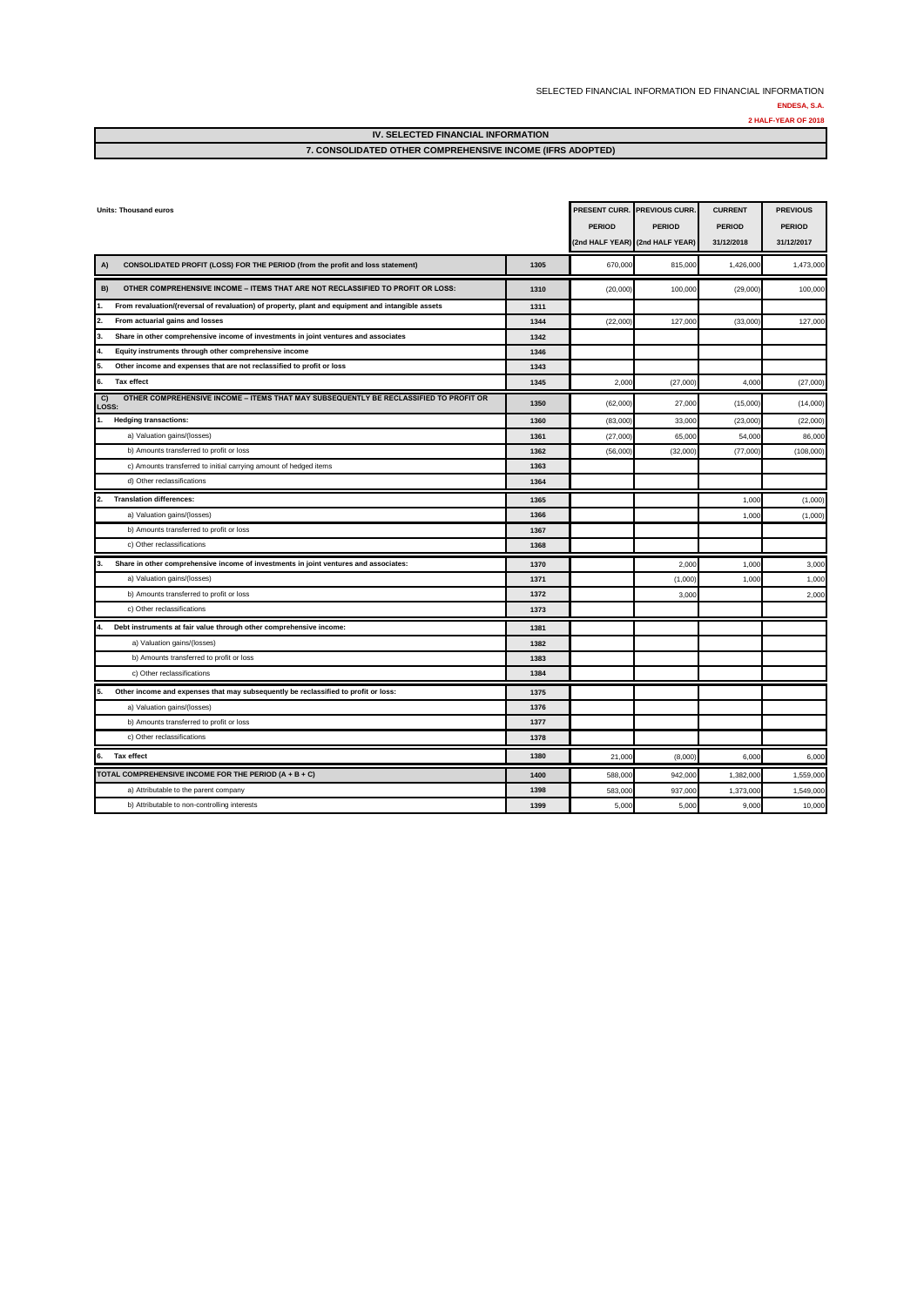#### SELECTED FINANCIAL INFORMATION ED FINANCIAL INFORMATION **ENDESA, S.A.**

**2 HALF-YEAR OF 2018**

#### **IV. SELECTED FINANCIAL INFORMATION 7. CONSOLIDATED OTHER COMPREHENSIVE INCOME (IFRS ADOPTED)**

| <b>Units: Thousand euros</b>                                                                         |      | <b>PERIOD</b> | PRESENT CURR. PREVIOUS CURR.<br><b>PERIOD</b><br>(2nd HALF YEAR) (2nd HALF YEAR) | <b>CURRENT</b><br><b>PERIOD</b><br>31/12/2018 | <b>PREVIOUS</b><br><b>PERIOD</b><br>31/12/2017 |
|------------------------------------------------------------------------------------------------------|------|---------------|----------------------------------------------------------------------------------|-----------------------------------------------|------------------------------------------------|
| CONSOLIDATED PROFIT (LOSS) FOR THE PERIOD (from the profit and loss statement)<br>A)                 | 1305 | 670,000       | 815,000                                                                          | 1,426,000                                     | 1,473,000                                      |
| B)<br>OTHER COMPREHENSIVE INCOME - ITEMS THAT ARE NOT RECLASSIFIED TO PROFIT OR LOSS:                | 1310 | (20,000)      | 100,000                                                                          | (29,000)                                      | 100,000                                        |
| From revaluation/(reversal of revaluation) of property, plant and equipment and intangible assets    | 1311 |               |                                                                                  |                                               |                                                |
| From actuarial gains and losses                                                                      | 1344 | (22,000)      | 127,000                                                                          | (33,000)                                      | 127,000                                        |
| 3<br>Share in other comprehensive income of investments in joint ventures and associates             | 1342 |               |                                                                                  |                                               |                                                |
| Equity instruments through other comprehensive income                                                | 1346 |               |                                                                                  |                                               |                                                |
| Other income and expenses that are not reclassified to profit or loss                                | 1343 |               |                                                                                  |                                               |                                                |
| 6.<br>Tax effect                                                                                     | 1345 | 2,000         | (27,000)                                                                         | 4,00                                          | (27,000)                                       |
| OTHER COMPREHENSIVE INCOME - ITEMS THAT MAY SUBSEQUENTLY BE RECLASSIFIED TO PROFIT OR<br>C)<br>LOSS: | 1350 | (62,000)      | 27,000                                                                           | (15,000)                                      | (14,000)                                       |
| <b>Hedging transactions:</b>                                                                         | 1360 | (83,000)      | 33,000                                                                           | (23,000)                                      | (22,000)                                       |
| a) Valuation gains/(losses)                                                                          | 1361 | (27,000)      | 65,000                                                                           | 54,00                                         | 86,000                                         |
| b) Amounts transferred to profit or loss                                                             | 1362 | (56,000)      | (32,000)                                                                         | (77,000                                       | (108,000)                                      |
| c) Amounts transferred to initial carrying amount of hedged items                                    | 1363 |               |                                                                                  |                                               |                                                |
| d) Other reclassifications                                                                           | 1364 |               |                                                                                  |                                               |                                                |
| <b>Translation differences:</b><br>2.                                                                | 1365 |               |                                                                                  | 1,00                                          | (1,000)                                        |
| a) Valuation gains/(losses)                                                                          | 1366 |               |                                                                                  | 1,00                                          | (1,000)                                        |
| b) Amounts transferred to profit or loss                                                             | 1367 |               |                                                                                  |                                               |                                                |
| c) Other reclassifications                                                                           | 1368 |               |                                                                                  |                                               |                                                |
| Share in other comprehensive income of investments in joint ventures and associates:                 | 1370 |               | 2,000                                                                            | 1,000                                         | 3,000                                          |
| a) Valuation gains/(losses)                                                                          | 1371 |               | (1,000)                                                                          | 1,000                                         | 1,000                                          |
| b) Amounts transferred to profit or loss                                                             | 1372 |               | 3,000                                                                            |                                               | 2,000                                          |
| c) Other reclassifications                                                                           | 1373 |               |                                                                                  |                                               |                                                |
| Debt instruments at fair value through other comprehensive income:                                   | 1381 |               |                                                                                  |                                               |                                                |
| a) Valuation gains/(losses)                                                                          | 1382 |               |                                                                                  |                                               |                                                |
| b) Amounts transferred to profit or loss                                                             | 1383 |               |                                                                                  |                                               |                                                |
| c) Other reclassifications                                                                           | 1384 |               |                                                                                  |                                               |                                                |
| Other income and expenses that may subsequently be reclassified to profit or loss:                   | 1375 |               |                                                                                  |                                               |                                                |
| a) Valuation gains/(losses)                                                                          | 1376 |               |                                                                                  |                                               |                                                |
| b) Amounts transferred to profit or loss                                                             | 1377 |               |                                                                                  |                                               |                                                |
| c) Other reclassifications                                                                           | 1378 |               |                                                                                  |                                               |                                                |
| Tax effect<br>6.                                                                                     | 1380 | 21,000        | (8,000)                                                                          | 6,00                                          | 6,000                                          |
| TOTAL COMPREHENSIVE INCOME FOR THE PERIOD (A + B + C)                                                | 1400 | 588,000       | 942,000                                                                          | 1,382,000                                     | 1,559,000                                      |
| a) Attributable to the parent company                                                                | 1398 | 583,000       | 937,000                                                                          | 1,373,000                                     | 1,549,000                                      |
| b) Attributable to non-controlling interests                                                         | 1399 | 5,000         | 5,000                                                                            | 9,000                                         | 10,000                                         |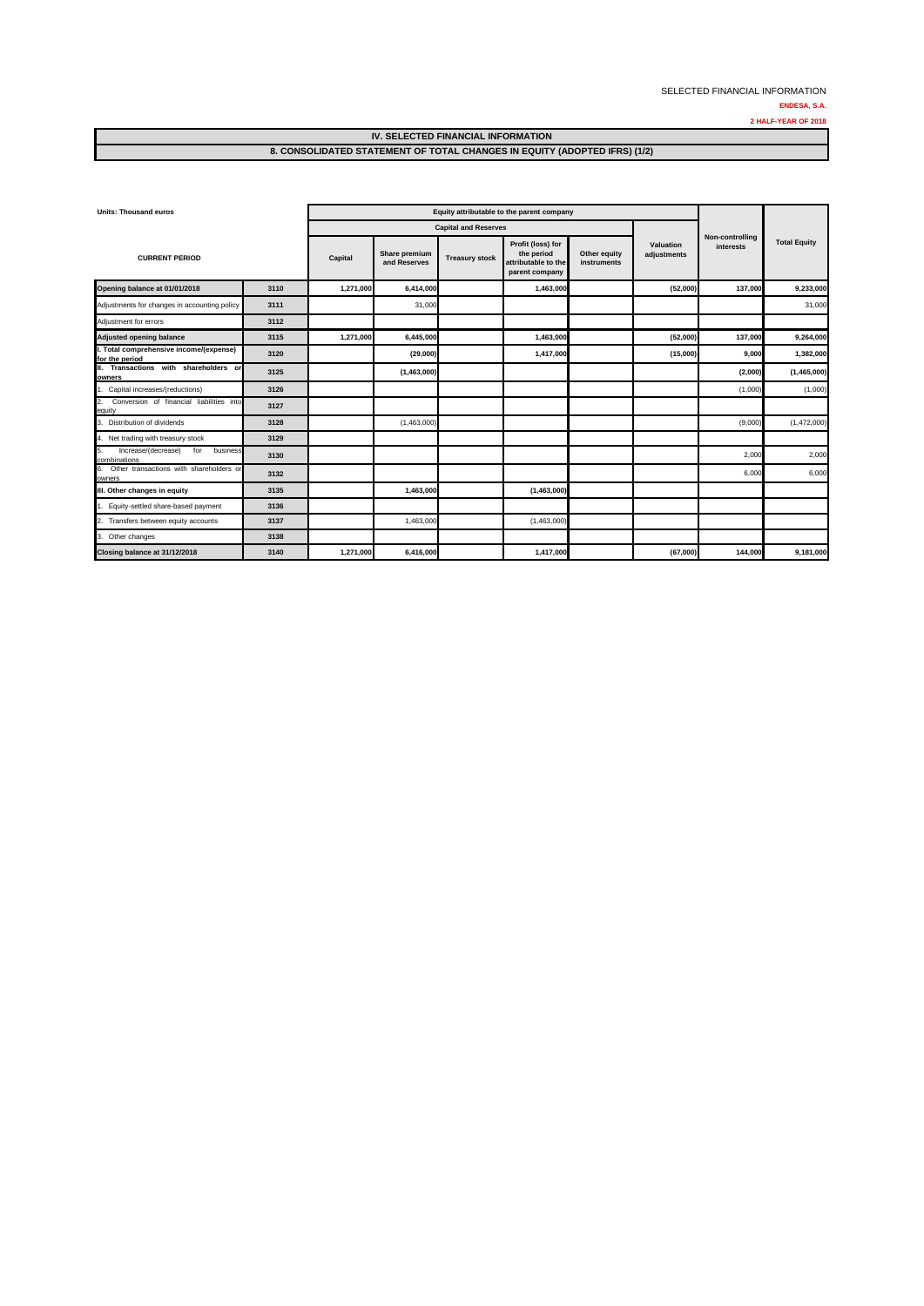#### **IV. SELECTED FINANCIAL INFORMATION 8. CONSOLIDATED STATEMENT OF TOTAL CHANGES IN EQUITY (ADOPTED IFRS) (1/2)**

| <b>Units: Thousand euros</b>                                 |      |           | Equity attributable to the parent company |                             |                                                                          |                             |                          |                              |                     |
|--------------------------------------------------------------|------|-----------|-------------------------------------------|-----------------------------|--------------------------------------------------------------------------|-----------------------------|--------------------------|------------------------------|---------------------|
|                                                              |      |           |                                           | <b>Capital and Reserves</b> |                                                                          |                             |                          |                              |                     |
| <b>CURRENT PERIOD</b>                                        |      | Capital   | Share premium<br>and Reserves             | <b>Treasury stock</b>       | Profit (loss) for<br>the period<br>attributable to the<br>parent company | Other equity<br>instruments | Valuation<br>adjustments | Non-controlling<br>interests | <b>Total Equity</b> |
| Opening balance at 01/01/2018                                | 3110 | 1,271,000 | 6,414,000                                 |                             | 1,463,000                                                                |                             | (52,000)                 | 137,000                      | 9,233,000           |
| Adjustments for changes in accounting policy                 | 3111 |           | 31,000                                    |                             |                                                                          |                             |                          |                              | 31,000              |
| Adjustment for errors                                        | 3112 |           |                                           |                             |                                                                          |                             |                          |                              |                     |
| <b>Adjusted opening balance</b>                              | 3115 | 1,271,000 | 6,445,000                                 |                             | 1,463,000                                                                |                             | (52,000)                 | 137,000                      | 9,264,000           |
| I. Total comprehensive income/(expense)<br>for the period    | 3120 |           | (29,000)                                  |                             | 1,417,000                                                                |                             | (15,000)                 | 9,000                        | 1,382,000           |
| II. Transactions with shareholders or<br>owners              | 3125 |           | (1,463,000)                               |                             |                                                                          |                             |                          | (2,000)                      | (1,465,000)         |
| 1. Capital increases/(reductions)                            | 3126 |           |                                           |                             |                                                                          |                             |                          | (1,000)                      | (1,000)             |
| Conversion of financial liabilities into<br>2.<br>equity     | 3127 |           |                                           |                             |                                                                          |                             |                          |                              |                     |
| 3. Distribution of dividends                                 | 3128 |           | (1,463,000)                               |                             |                                                                          |                             |                          | (9,000)                      | (1,472,000)         |
| 4. Net trading with treasury stock                           | 3129 |           |                                           |                             |                                                                          |                             |                          |                              |                     |
| Increase/(decrease)<br>for<br>business<br>5.<br>combinations | 3130 |           |                                           |                             |                                                                          |                             |                          | 2,000                        | 2,000               |
| 6. Other transactions with shareholders or<br>owners         | 3132 |           |                                           |                             |                                                                          |                             |                          | 6,000                        | 6,000               |
| III. Other changes in equity                                 | 3135 |           | 1,463,000                                 |                             | (1,463,000)                                                              |                             |                          |                              |                     |
| Equity-settled share-based payment                           | 3136 |           |                                           |                             |                                                                          |                             |                          |                              |                     |
| Transfers between equity accounts<br>2.                      | 3137 |           | 1,463,000                                 |                             | (1,463,000)                                                              |                             |                          |                              |                     |
| 3. Other changes                                             | 3138 |           |                                           |                             |                                                                          |                             |                          |                              |                     |
| Closing balance at 31/12/2018                                | 3140 | 1,271,000 | 6,416,000                                 |                             | 1,417,000                                                                |                             | (67,000)                 | 144,000                      | 9,181,000           |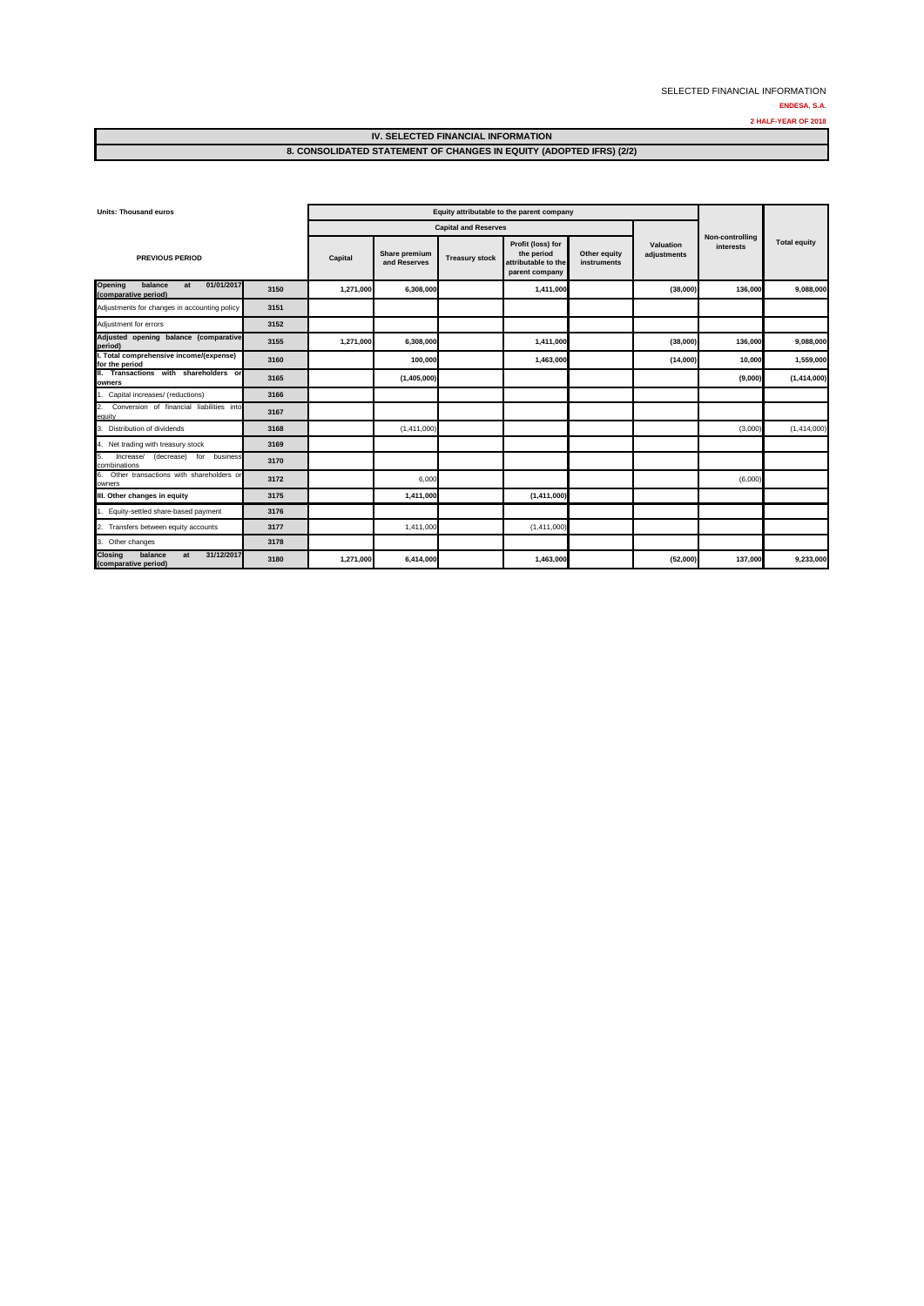#### **IV. SELECTED FINANCIAL INFORMATION 8. CONSOLIDATED STATEMENT OF CHANGES IN EQUITY (ADOPTED IFRS) (2/2)**

| <b>Units: Thousand euros</b>                                           |      | Equity attributable to the parent company |                               |                             |                                                                          |                             |                          |                              |                     |
|------------------------------------------------------------------------|------|-------------------------------------------|-------------------------------|-----------------------------|--------------------------------------------------------------------------|-----------------------------|--------------------------|------------------------------|---------------------|
|                                                                        |      |                                           |                               | <b>Capital and Reserves</b> |                                                                          |                             |                          |                              |                     |
| <b>PREVIOUS PERIOD</b>                                                 |      | Capital                                   | Share premium<br>and Reserves | <b>Treasury stock</b>       | Profit (loss) for<br>the period<br>attributable to the<br>parent company | Other equity<br>instruments | Valuation<br>adjustments | Non-controlling<br>interests | <b>Total equity</b> |
| balance<br>01/01/2017<br>Opening<br>at<br>(comparative period)         | 3150 | 1,271,000                                 | 6,308,000                     |                             | 1,411,000                                                                |                             | (38,000)                 | 136,000                      | 9,088,000           |
| Adjustments for changes in accounting policy                           | 3151 |                                           |                               |                             |                                                                          |                             |                          |                              |                     |
| Adjustment for errors                                                  | 3152 |                                           |                               |                             |                                                                          |                             |                          |                              |                     |
| Adjusted opening balance (comparative<br>period)                       | 3155 | 1,271,000                                 | 6,308,000                     |                             | 1,411,000                                                                |                             | (38,000)                 | 136,000                      | 9,088,000           |
| I. Total comprehensive income/(expense)<br>for the period              | 3160 |                                           | 100,000                       |                             | 1,463,000                                                                |                             | (14,000)                 | 10,000                       | 1,559,000           |
| II. Transactions with shareholders or<br>owners                        | 3165 |                                           | (1,405,000)                   |                             |                                                                          |                             |                          | (9,000)                      | (1, 414, 000)       |
| 1. Capital increases/ (reductions)                                     | 3166 |                                           |                               |                             |                                                                          |                             |                          |                              |                     |
| Conversion of financial liabilities into<br>$\overline{2}$ .<br>equity | 3167 |                                           |                               |                             |                                                                          |                             |                          |                              |                     |
| Distribution of dividends<br>3.                                        | 3168 |                                           | (1,411,000)                   |                             |                                                                          |                             |                          | (3,000)                      | (1, 414, 000)       |
| 4. Net trading with treasury stock                                     | 3169 |                                           |                               |                             |                                                                          |                             |                          |                              |                     |
| Increase/<br>(decrease)<br>5.<br>for business<br>combinations          | 3170 |                                           |                               |                             |                                                                          |                             |                          |                              |                     |
| 6. Other transactions with shareholders or<br>owners                   | 3172 |                                           | 6,000                         |                             |                                                                          |                             |                          | (6,000)                      |                     |
| III. Other changes in equity                                           | 3175 |                                           | 1,411,000                     |                             | (1,411,000)                                                              |                             |                          |                              |                     |
| Equity-settled share-based payment                                     | 3176 |                                           |                               |                             |                                                                          |                             |                          |                              |                     |
| 2. Transfers between equity accounts                                   | 3177 |                                           | 1,411,000                     |                             | (1,411,000)                                                              |                             |                          |                              |                     |
| 3. Other changes                                                       | 3178 |                                           |                               |                             |                                                                          |                             |                          |                              |                     |
| 31/12/2017<br>balance<br><b>Closing</b><br>at<br>(comparative period)  | 3180 | 1,271,000                                 | 6,414,000                     |                             | 1,463,000                                                                |                             | (52,000)                 | 137,000                      | 9,233,000           |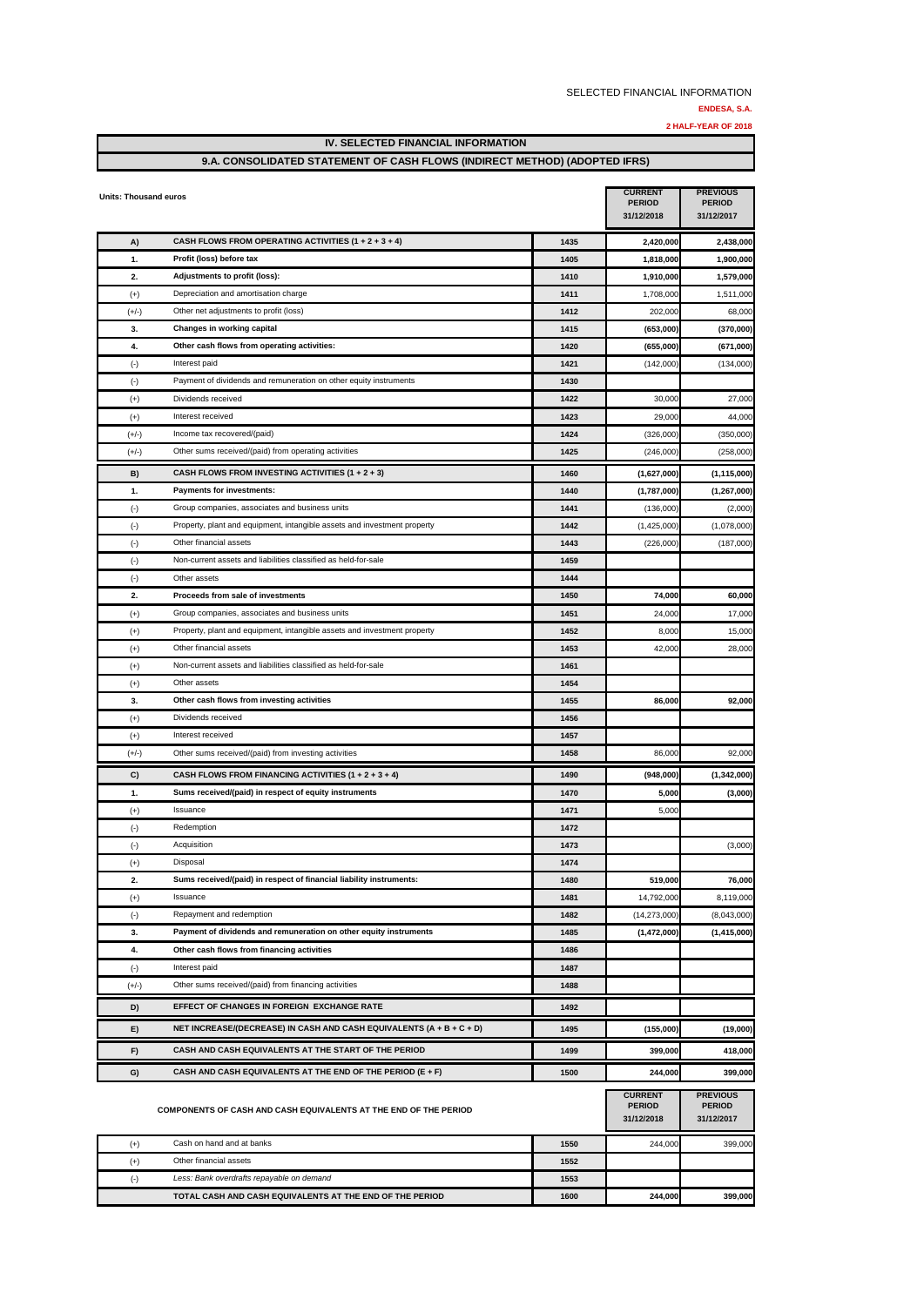**1600 244,000 399,000**

|                              | <b>IV. SELECTED FINANCIAL INFORMATION</b>                                       |              |                                               |                                                |  |
|------------------------------|---------------------------------------------------------------------------------|--------------|-----------------------------------------------|------------------------------------------------|--|
|                              | 9.A. CONSOLIDATED STATEMENT OF CASH FLOWS (INDIRECT METHOD) (ADOPTED IFRS)      |              |                                               |                                                |  |
| <b>Units: Thousand euros</b> |                                                                                 |              | <b>CURRENT</b><br><b>PERIOD</b><br>31/12/2018 | <b>PREVIOUS</b><br><b>PERIOD</b><br>31/12/2017 |  |
| A)                           | CASH FLOWS FROM OPERATING ACTIVITIES $(1 + 2 + 3 + 4)$                          | 1435         | 2,420,000                                     | 2,438,000                                      |  |
| 1.                           | Profit (loss) before tax                                                        | 1405         | 1,818,000                                     | 1.900.000                                      |  |
| 2.                           | Adjustments to profit (loss):                                                   | 1410         | 1,910,000                                     | 1,579,000                                      |  |
| $(+)$                        | Depreciation and amortisation charge                                            | 1411         | 1,708,000                                     | 1,511,000                                      |  |
| $(+/-)$                      | Other net adjustments to profit (loss)                                          | 1412         | 202,000                                       | 68,000                                         |  |
| 3.                           | Changes in working capital                                                      | 1415         | (653,000)                                     | (370,000)                                      |  |
| 4.                           | Other cash flows from operating activities:                                     | 1420         | (655,000)                                     | (671,000)                                      |  |
| $(\cdot)$                    | Interest paid                                                                   | 1421         | (142,000)                                     | (134,000)                                      |  |
| $(\cdot)$                    | Payment of dividends and remuneration on other equity instruments               | 1430         |                                               |                                                |  |
| $^{(+)}$                     | Dividends received                                                              | 1422         | 30,000                                        | 27,000                                         |  |
| $^{(+)}$                     | Interest received                                                               | 1423         | 29,000                                        | 44,000                                         |  |
| $(+/-)$                      | Income tax recovered/(paid)                                                     | 1424         | (326,000)                                     | (350,000)                                      |  |
| $(+/-)$                      | Other sums received/(paid) from operating activities                            | 1425         | (246,000)                                     | (258,000)                                      |  |
| B)                           | CASH FLOWS FROM INVESTING ACTIVITIES (1 + 2 + 3)                                | 1460         | (1,627,000)                                   | (1, 115, 000)                                  |  |
| 1.                           | Payments for investments:                                                       | 1440         | (1,787,000)                                   | (1, 267, 000)                                  |  |
| $(\cdot)$                    | Group companies, associates and business units                                  | 1441         | (136,000)                                     | (2,000)                                        |  |
| $(\cdot)$                    | Property, plant and equipment, intangible assets and investment property        | 1442         | (1,425,000)                                   | (1,078,000)                                    |  |
| $(\cdot)$                    | Other financial assets                                                          | 1443         | (226,000)                                     | (187,000)                                      |  |
| $(\cdot)$                    | Non-current assets and liabilities classified as held-for-sale                  | 1459         |                                               |                                                |  |
| $(\cdot)$                    | Other assets                                                                    | 1444         |                                               |                                                |  |
| 2.                           | Proceeds from sale of investments                                               | 1450         | 74,000                                        | 60,000                                         |  |
| $^{(+)}$                     | Group companies, associates and business units                                  | 1451         | 24,000                                        | 17,000                                         |  |
| $^{(+)}$                     | Property, plant and equipment, intangible assets and investment property        | 1452         | 8,000                                         | 15,000                                         |  |
| $^{(+)}$                     | Other financial assets                                                          | 1453         | 42,000                                        | 28,000                                         |  |
| $(+)$                        | Non-current assets and liabilities classified as held-for-sale                  | 1461         |                                               |                                                |  |
| $^{(+)}$                     | Other assets                                                                    | 1454         |                                               |                                                |  |
| 3.                           | Other cash flows from investing activities                                      | 1455         | 86,000                                        | 92,000                                         |  |
| $^{(+)}$                     | Dividends received                                                              | 1456         |                                               |                                                |  |
| $^{(+)}$                     | Interest received                                                               | 1457         |                                               |                                                |  |
| $(+/-)$                      | Other sums received/(paid) from investing activities                            | 1458         | 86,000                                        | 92,000                                         |  |
| C)                           | CASH FLOWS FROM FINANCING ACTIVITIES $(1 + 2 + 3 + 4)$                          | 1490         | (948,000)                                     | (1,342,000)                                    |  |
| 1.                           | Sums received/(paid) in respect of equity instruments                           | 1470         | 5,000                                         | (3,000)                                        |  |
| $^{(+)}$                     | Issuance                                                                        | 1471         | 5,000                                         |                                                |  |
| $(\cdot)$                    | Redemption                                                                      | 1472         |                                               |                                                |  |
| $(\cdot)$                    | Acquisition                                                                     | 1473         |                                               | (3,000)                                        |  |
| $(+)$                        | Disposal<br>Sums received/(paid) in respect of financial liability instruments: | 1474         |                                               |                                                |  |
| 2.                           | Issuance                                                                        | 1480         | 519,000                                       | 76,000<br>8,119,000                            |  |
| $^{(+)}$                     | Repayment and redemption                                                        | 1481         | 14,792,000                                    |                                                |  |
| $(\cdot)$<br>3.              | Payment of dividends and remuneration on other equity instruments               | 1482<br>1485 | (14, 273, 000)<br>(1,472,000)                 | (8,043,000)<br>(1, 415, 000)                   |  |
| 4.                           | Other cash flows from financing activities                                      | 1486         |                                               |                                                |  |
| $(\cdot)$                    | Interest paid                                                                   | 1487         |                                               |                                                |  |
| $(+/-)$                      | Other sums received/(paid) from financing activities                            | 1488         |                                               |                                                |  |
|                              |                                                                                 |              |                                               |                                                |  |
| D)                           | EFFECT OF CHANGES IN FOREIGN EXCHANGE RATE                                      | 1492         |                                               |                                                |  |
| E)                           | NET INCREASE/(DECREASE) IN CASH AND CASH EQUIVALENTS (A + B + C + D)            | 1495         | (155,000)                                     | (19,000)                                       |  |
| F)                           | CASH AND CASH EQUIVALENTS AT THE START OF THE PERIOD                            | 1499         | 399,000                                       | 418,000                                        |  |
| G)                           | CASH AND CASH EQUIVALENTS AT THE END OF THE PERIOD (E + F)                      | 1500         | 244,000                                       | 399,000                                        |  |
|                              | COMPONENTS OF CASH AND CASH EQUIVALENTS AT THE END OF THE PERIOD                |              | <b>CURRENT</b><br><b>PERIOD</b><br>31/12/2018 | <b>PREVIOUS</b><br><b>PERIOD</b><br>31/12/2017 |  |
|                              | Cash on hand and at banks                                                       | 1550         | 244,000                                       | 399,000                                        |  |
| $^{(+)}$<br>$(+)$            | Other financial assets                                                          | 1552         |                                               |                                                |  |
|                              |                                                                                 |              |                                               |                                                |  |

(-) **1553** *Less: Bank overdrafts repayable on demand*

**TOTAL CASH AND CASH EQUIVALENTS AT THE END OF THE PERIOD**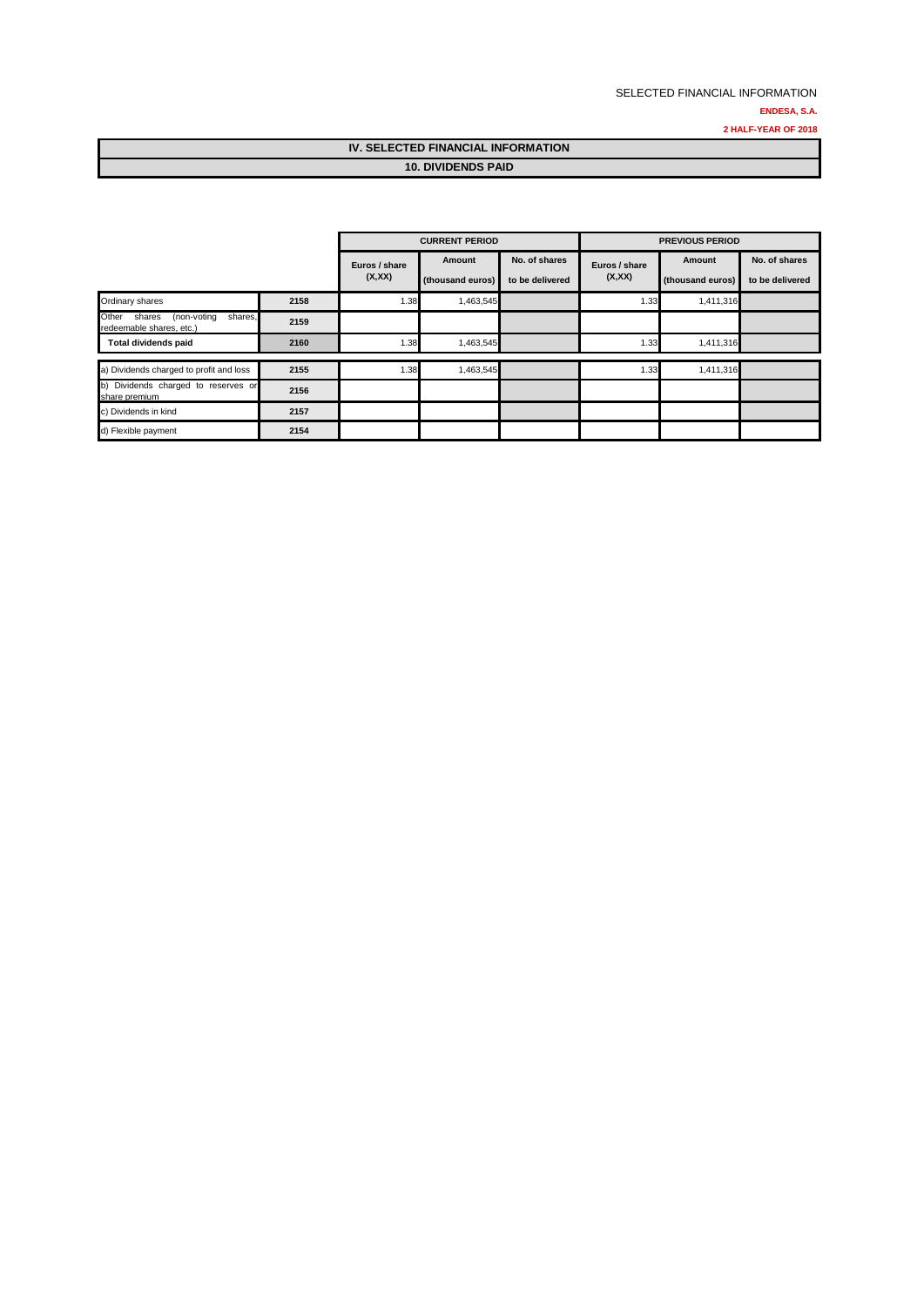### SELECTED FINANCIAL INFORMATION **ENDESA, S.A. 2 HALF-YEAR OF 2018**

### **IV. SELECTED FINANCIAL INFORMATION 10. DIVIDENDS PAID**

|                                                                       |      |                         | <b>CURRENT PERIOD</b>      |                                  |                         | <b>PREVIOUS PERIOD</b>     |                                  |
|-----------------------------------------------------------------------|------|-------------------------|----------------------------|----------------------------------|-------------------------|----------------------------|----------------------------------|
|                                                                       |      | Euros / share<br>(X,XX) | Amount<br>(thousand euros) | No. of shares<br>to be delivered | Euros / share<br>(X,XX) | Amount<br>(thousand euros) | No. of shares<br>to be delivered |
| Ordinary shares                                                       | 2158 | 1.38                    | 1,463,545                  |                                  | 1.33                    | 1,411,316                  |                                  |
| Other<br>shares,<br>(non-voting<br>shares<br>redeemable shares, etc.) | 2159 |                         |                            |                                  |                         |                            |                                  |
| <b>Total dividends paid</b>                                           | 2160 | 1.38                    | 1,463,545                  |                                  | 1.33                    | 1,411,316                  |                                  |
| a) Dividends charged to profit and loss                               | 2155 | 1.38                    | 1,463,545                  |                                  | 1.33                    | 1,411,316                  |                                  |
| b) Dividends charged to reserves or<br>share premium                  | 2156 |                         |                            |                                  |                         |                            |                                  |
| c) Dividends in kind                                                  | 2157 |                         |                            |                                  |                         |                            |                                  |
| d) Flexible payment                                                   | 2154 |                         |                            |                                  |                         |                            |                                  |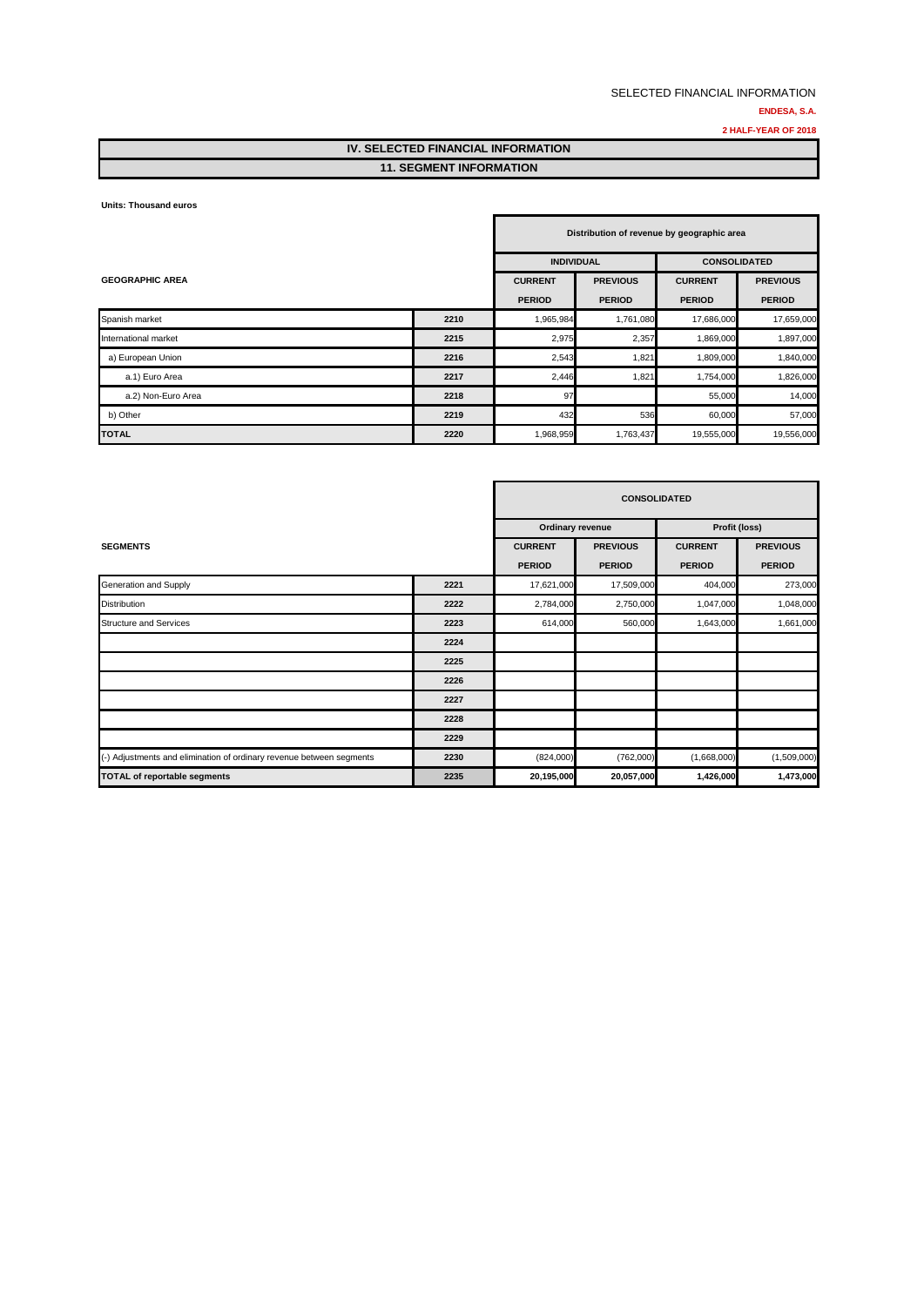#### **2 HALF-YEAR OF 2018**

### **IV. SELECTED FINANCIAL INFORMATION 11. SEGMENT INFORMATION**

#### **Units: Thousand euros**

|                        | Distribution of revenue by geographic area |                   |                 |                     |                 |
|------------------------|--------------------------------------------|-------------------|-----------------|---------------------|-----------------|
|                        |                                            | <b>INDIVIDUAL</b> |                 | <b>CONSOLIDATED</b> |                 |
| <b>GEOGRAPHIC AREA</b> |                                            | <b>CURRENT</b>    | <b>PREVIOUS</b> | <b>CURRENT</b>      | <b>PREVIOUS</b> |
|                        |                                            | <b>PERIOD</b>     | <b>PERIOD</b>   | <b>PERIOD</b>       | <b>PERIOD</b>   |
| Spanish market         | 2210                                       | 1,965,984         | 1,761,080       | 17,686,000          | 17,659,000      |
| International market   | 2215                                       | 2,975             | 2,357           | 1,869,000           | 1,897,000       |
| a) European Union      | 2216                                       | 2,543             | 1,821           | 1,809,000           | 1,840,000       |
| a.1) Euro Area         | 2217                                       | 2,446             | 1,821           | 1,754,000           | 1,826,000       |
| a.2) Non-Euro Area     | 2218                                       | 97                |                 | 55,000              | 14,000          |
| b) Other               | 2219                                       | 432               | 536             | 60,000              | 57,000          |
| TOTAL                  | 2220                                       | 1,968,959         | 1,763,437       | 19,555,000          | 19,556,000      |

|                                                                      |      |                  | <b>CONSOLIDATED</b> |                |                 |
|----------------------------------------------------------------------|------|------------------|---------------------|----------------|-----------------|
|                                                                      |      | Ordinary revenue |                     | Profit (loss)  |                 |
| <b>SEGMENTS</b>                                                      |      | <b>CURRENT</b>   | <b>PREVIOUS</b>     | <b>CURRENT</b> | <b>PREVIOUS</b> |
|                                                                      |      | <b>PERIOD</b>    | <b>PERIOD</b>       | <b>PERIOD</b>  | <b>PERIOD</b>   |
| Generation and Supply                                                | 2221 | 17,621,000       | 17,509,000          | 404,000        | 273,000         |
| <b>Distribution</b>                                                  | 2222 | 2,784,000        | 2,750,000           | 1,047,000      | 1,048,000       |
| <b>Structure and Services</b>                                        | 2223 | 614,000          | 560,000             | 1,643,000      | 1,661,000       |
|                                                                      | 2224 |                  |                     |                |                 |
|                                                                      | 2225 |                  |                     |                |                 |
|                                                                      | 2226 |                  |                     |                |                 |
|                                                                      | 2227 |                  |                     |                |                 |
|                                                                      | 2228 |                  |                     |                |                 |
|                                                                      | 2229 |                  |                     |                |                 |
| (-) Adjustments and elimination of ordinary revenue between segments | 2230 | (824,000)        | (762,000)           | (1,668,000)    | (1,509,000)     |
| <b>TOTAL of reportable segments</b>                                  | 2235 | 20,195,000       | 20,057,000          | 1,426,000      | 1,473,000       |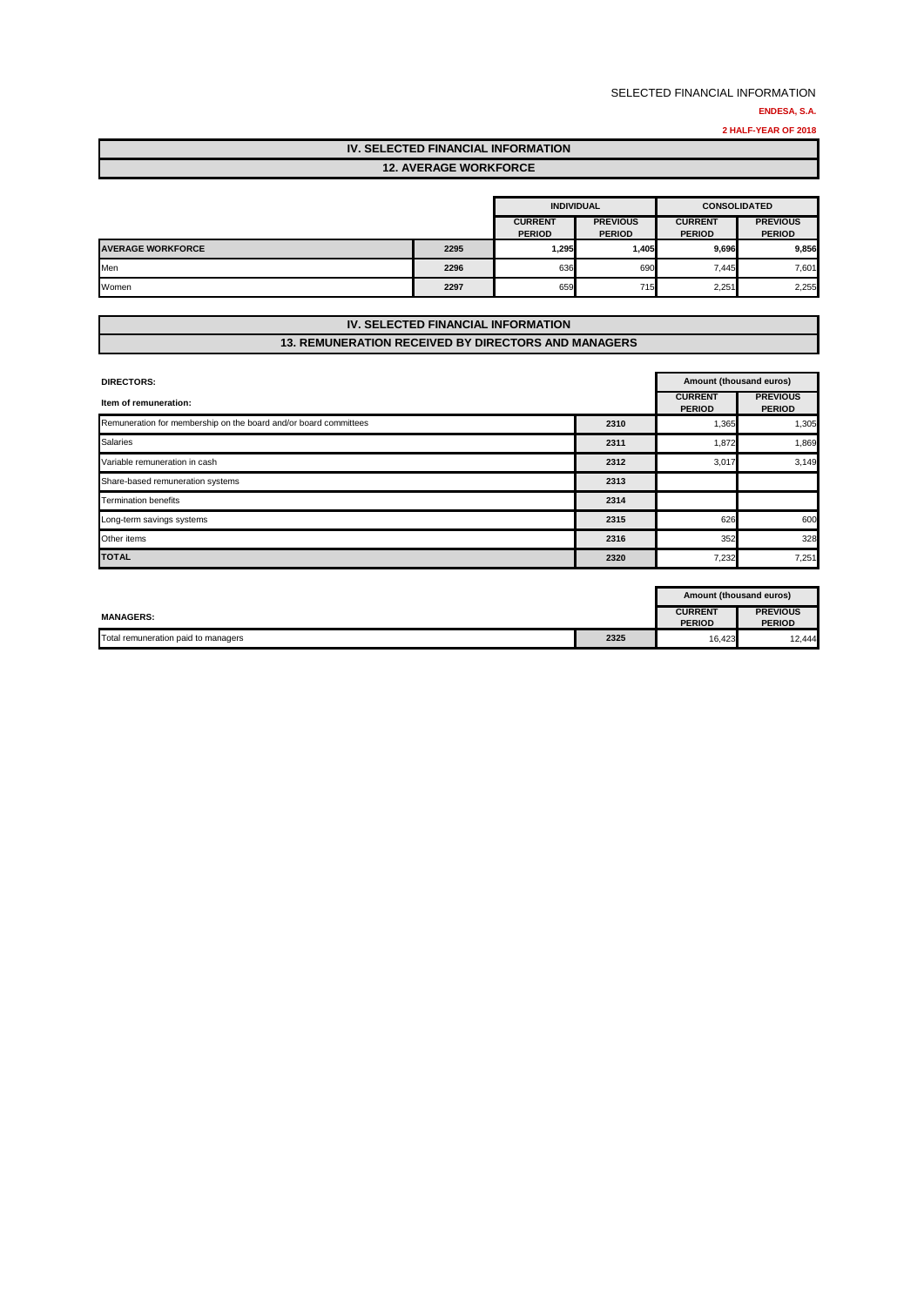**2 HALF-YEAR OF 2018**

# **IV. SELECTED FINANCIAL INFORMATION**

### **12. AVERAGE WORKFORCE**

|                          |      | <b>INDIVIDUAL</b>               |                                  |                                 | <b>CONSOLIDATED</b>              |
|--------------------------|------|---------------------------------|----------------------------------|---------------------------------|----------------------------------|
|                          |      | <b>CURRENT</b><br><b>PERIOD</b> | <b>PREVIOUS</b><br><b>PERIOD</b> | <b>CURRENT</b><br><b>PERIOD</b> | <b>PREVIOUS</b><br><b>PERIOD</b> |
| <b>AVERAGE WORKFORCE</b> | 2295 | 1,295                           | 1,405                            | 9,696                           | 9,856                            |
| Men                      | 2296 | 636                             | 690                              | 7.445                           | 7,601                            |
| Women                    | 2297 | 659                             | 715                              | 2,251                           | 2,255                            |

### **IV. SELECTED FINANCIAL INFORMATION 13. REMUNERATION RECEIVED BY DIRECTORS AND MANAGERS**

| <b>DIRECTORS:</b>                                                |      |                                 | Amount (thousand euros)          |  |  |
|------------------------------------------------------------------|------|---------------------------------|----------------------------------|--|--|
| Item of remuneration:                                            |      | <b>CURRENT</b><br><b>PERIOD</b> | <b>PREVIOUS</b><br><b>PERIOD</b> |  |  |
| Remuneration for membership on the board and/or board committees | 2310 | 1,365                           | 1,305                            |  |  |
| <b>Salaries</b>                                                  | 2311 | 1,872                           | 1,869                            |  |  |
| Variable remuneration in cash                                    | 2312 | 3,017                           | 3,149                            |  |  |
| Share-based remuneration systems                                 | 2313 |                                 |                                  |  |  |
| <b>Termination benefits</b>                                      | 2314 |                                 |                                  |  |  |
| Long-term savings systems                                        | 2315 | 626                             | 600                              |  |  |
| Other items                                                      | 2316 | 352                             | 328                              |  |  |
| <b>TOTAL</b>                                                     | 2320 | 7,232                           | 7,251                            |  |  |

|                                     |      | Amount (thousand euros)         |                                  |
|-------------------------------------|------|---------------------------------|----------------------------------|
| <b>MANAGERS:</b>                    |      | <b>CURRENT</b><br><b>PERIOD</b> | <b>PREVIOUS</b><br><b>PERIOD</b> |
| Total remuneration paid to managers | 2325 | 16,423                          | 12,444                           |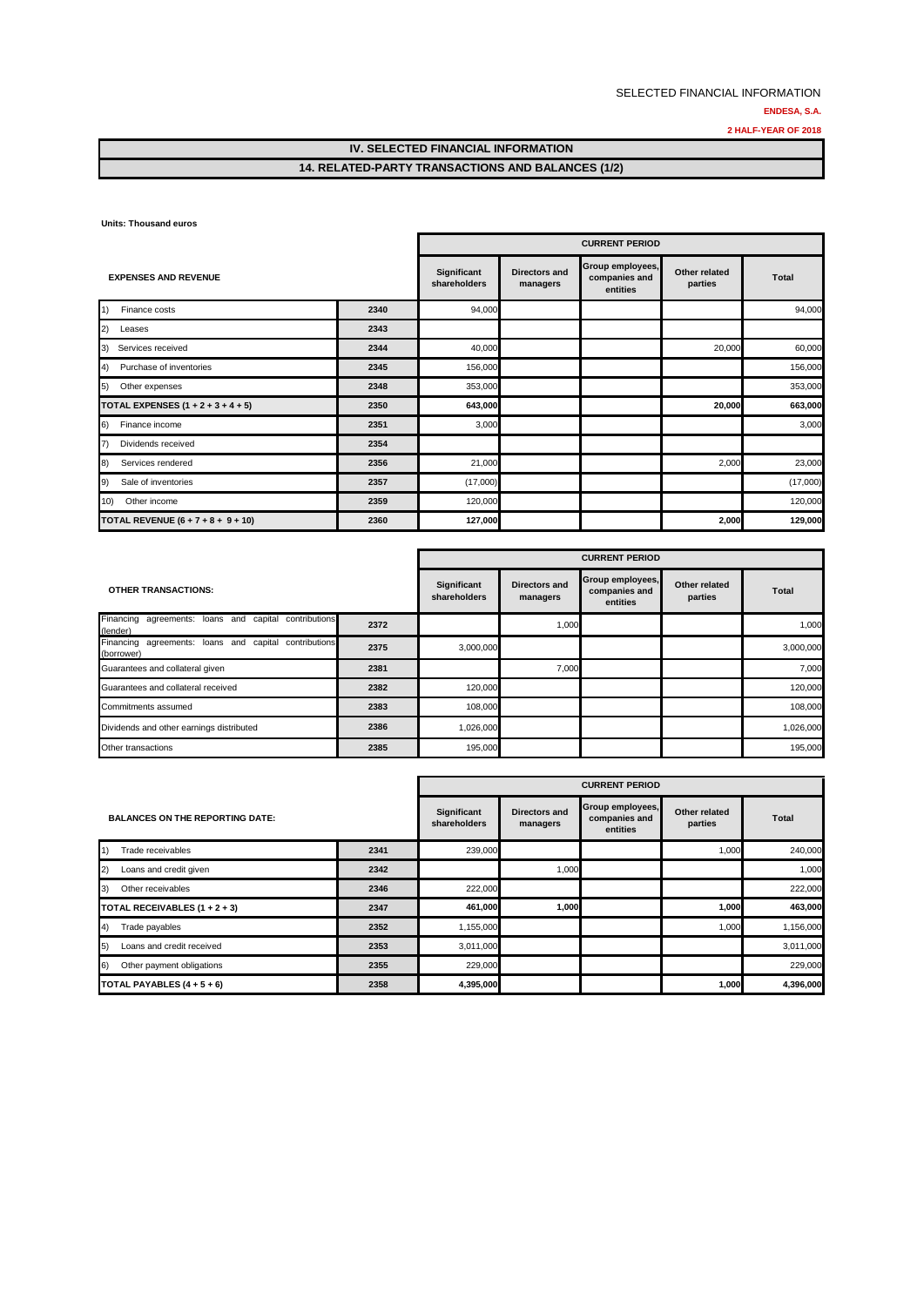### **14. RELATED-PARTY TRANSACTIONS AND BALANCES (1/2)**

**Units: Thousand euros**

|                                                        |      | <b>CURRENT PERIOD</b>       |                           |                                               |                          |              |  |
|--------------------------------------------------------|------|-----------------------------|---------------------------|-----------------------------------------------|--------------------------|--------------|--|
| <b>EXPENSES AND REVENUE</b>                            |      | Significant<br>shareholders | Directors and<br>managers | Group employees,<br>companies and<br>entities | Other related<br>parties | <b>Total</b> |  |
| 1)<br>Finance costs                                    | 2340 | 94,000                      |                           |                                               |                          | 94,000       |  |
| 2)<br>Leases                                           | 2343 |                             |                           |                                               |                          |              |  |
| Services received<br>3)                                | 2344 | 40,000                      |                           |                                               | 20,000                   | 60,000       |  |
| 4)<br>Purchase of inventories                          | 2345 | 156,000                     |                           |                                               |                          | 156,000      |  |
| 5)<br>Other expenses                                   | 2348 | 353,000                     |                           |                                               |                          | 353,000      |  |
| <b>TOTAL EXPENSES <math>(1 + 2 + 3 + 4 + 5)</math></b> | 2350 | 643,000                     |                           |                                               | 20,000                   | 663,000      |  |
| Finance income<br>6)                                   | 2351 | 3,000                       |                           |                                               |                          | 3,000        |  |
| $\vert 7)$<br>Dividends received                       | 2354 |                             |                           |                                               |                          |              |  |
| 8)<br>Services rendered                                | 2356 | 21,000                      |                           |                                               | 2,000                    | 23,000       |  |
| 9)<br>Sale of inventories                              | 2357 | (17,000)                    |                           |                                               |                          | (17,000)     |  |
| 10)<br>Other income                                    | 2359 | 120,000                     |                           |                                               |                          | 120,000      |  |
| TOTAL REVENUE $(6 + 7 + 8 + 9 + 10)$                   | 2360 | 127,000                     |                           |                                               | 2,000                    | 129,000      |  |

|                                                                     |      | <b>CURRENT PERIOD</b>       |                           |                                               |                          |              |  |
|---------------------------------------------------------------------|------|-----------------------------|---------------------------|-----------------------------------------------|--------------------------|--------------|--|
| <b>OTHER TRANSACTIONS:</b>                                          |      | Significant<br>shareholders | Directors and<br>managers | Group employees,<br>companies and<br>entities | Other related<br>parties | <b>Total</b> |  |
| Financing agreements: loans and capital contributions<br>(lender)   | 2372 |                             | 1,000                     |                                               |                          | 1.000        |  |
| Financing agreements: loans and capital contributions<br>(borrower) | 2375 | 3,000,000                   |                           |                                               |                          | 3,000,000    |  |
| Guarantees and collateral given                                     | 2381 |                             | 7,000                     |                                               |                          | 7.000        |  |
| Guarantees and collateral received                                  | 2382 | 120,000                     |                           |                                               |                          | 120.000      |  |
| Commitments assumed                                                 | 2383 | 108,000                     |                           |                                               |                          | 108,000      |  |
| Dividends and other earnings distributed                            | 2386 | 1,026,000                   |                           |                                               |                          | 1,026,000    |  |
| Other transactions                                                  | 2385 | 195,000                     |                           |                                               |                          | 195,000      |  |

|                                        |      | <b>CURRENT PERIOD</b>       |                           |                                               |                          |              |
|----------------------------------------|------|-----------------------------|---------------------------|-----------------------------------------------|--------------------------|--------------|
| <b>BALANCES ON THE REPORTING DATE:</b> |      | Significant<br>shareholders | Directors and<br>managers | Group employees,<br>companies and<br>entities | Other related<br>parties | <b>Total</b> |
| 1)<br>Trade receivables                | 2341 | 239,000                     |                           |                                               | 1,000                    | 240,000      |
| (2)<br>Loans and credit given          | 2342 |                             | 1,000                     |                                               |                          | 1.000        |
| 3)<br>Other receivables                | 2346 | 222,000                     |                           |                                               |                          | 222,000      |
| TOTAL RECEIVABLES $(1 + 2 + 3)$        | 2347 | 461,000                     | 1,000                     |                                               | 1,000                    | 463.000      |
| $\left(4\right)$<br>Trade payables     | 2352 | 1,155,000                   |                           |                                               | 1,000                    | 1,156,000    |
| 5)<br>Loans and credit received        | 2353 | 3,011,000                   |                           |                                               |                          | 3,011,000    |
| 6)<br>Other payment obligations        | 2355 | 229,000                     |                           |                                               |                          | 229,000      |
| TOTAL PAYABLES $(4 + 5 + 6)$           | 2358 | 4,395,000                   |                           |                                               | 1,000                    | 4,396,000    |